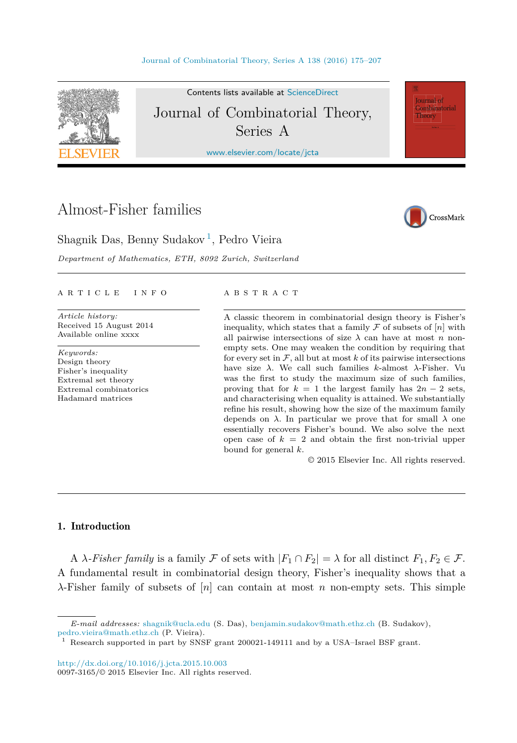

Contents lists available at [ScienceDirect](http://www.ScienceDirect.com/) Journal of Combinatorial Theory, Series A

[www.elsevier.com/locate/jcta](http://www.elsevier.com/locate/jcta)

# Almost-Fisher families



**Journal** of Combinatorial Theory

Shagnik Das, Benny Sudakov<sup>1</sup>, Pedro Vieira

*Department of Mathematics, ETH, 8092 Zurich, Switzerland*

#### A R T I C L E I N F O A B S T R A C T

*Article history:* Received 15 August 2014 Available online xxxx

*Keywords:* Design theory Fisher's inequality Extremal set theory Extremal combinatorics Hadamard matrices

A classic theorem in combinatorial design theory is Fisher's inequality, which states that a family  $\mathcal F$  of subsets of  $[n]$  with all pairwise intersections of size  $\lambda$  can have at most *n* nonempty sets. One may weaken the condition by requiring that for every set in  $\mathcal{F}$ , all but at most  $k$  of its pairwise intersections have size *λ*. We call such families *k*-almost *λ*-Fisher. Vu was the first to study the maximum size of such families, proving that for  $k = 1$  the largest family has  $2n - 2$  sets, and characterising when equality is attained. We substantially refine his result, showing how the size of the maximum family depends on  $\lambda$ . In particular we prove that for small  $\lambda$  one essentially recovers Fisher's bound. We also solve the next open case of  $k = 2$  and obtain the first non-trivial upper bound for general *k*.

© 2015 Elsevier Inc. All rights reserved.

# 1. Introduction

A *λ-Fisher family* is a family F of sets with  $|F_1 \cap F_2| = \lambda$  for all distinct  $F_1, F_2 \in \mathcal{F}$ . A fundamental result in combinatorial design theory, Fisher's inequality shows that a *λ*-Fisher family of subsets of [*n*] can contain at most *n* non-empty sets. This simple

*E-mail addresses:* [shagnik@ucla.edu](mailto:shagnik@ucla.edu) (S. Das), [benjamin.sudakov@math.ethz.ch](mailto:benjamin.sudakov@math.ethz.ch) (B. Sudakov), [pedro.vieira@math.ethz.ch](mailto:pedro.vieira@math.ethz.ch) (P. Vieira).

<sup>1</sup> Research supported in part by SNSF grant 200021-149111 and by a USA–Israel BSF grant.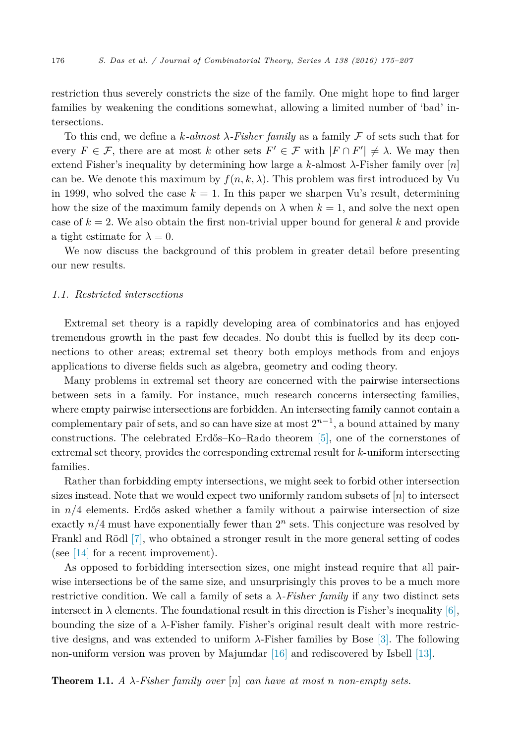<span id="page-1-0"></span>restriction thus severely constricts the size of the family. One might hope to find larger families by weakening the conditions somewhat, allowing a limited number of 'bad' intersections.

To this end, we define a *k-almost λ-Fisher family* as a family F of sets such that for every  $F \in \mathcal{F}$ , there are at most *k* other sets  $F' \in \mathcal{F}$  with  $|F \cap F'| \neq \lambda$ . We may then extend Fisher's inequality by determining how large a *k*-almost *λ*-Fisher family over [*n*] can be. We denote this maximum by  $f(n, k, \lambda)$ . This problem was first introduced by Vu in 1999, who solved the case  $k = 1$ . In this paper we sharpen Vu's result, determining how the size of the maximum family depends on  $\lambda$  when  $k = 1$ , and solve the next open case of  $k = 2$ . We also obtain the first non-trivial upper bound for general k and provide a tight estimate for  $\lambda = 0$ .

We now discuss the background of this problem in greater detail before presenting our new results.

# *1.1. Restricted intersections*

Extremal set theory is a rapidly developing area of combinatorics and has enjoyed tremendous growth in the past few decades. No doubt this is fuelled by its deep connections to other areas; extremal set theory both employs methods from and enjoys applications to diverse fields such as algebra, geometry and coding theory.

Many problems in extremal set theory are concerned with the pairwise intersections between sets in a family. For instance, much research concerns intersecting families, where empty pairwise intersections are forbidden. An intersecting family cannot contain a complementary pair of sets, and so can have size at most  $2^{n-1}$ , a bound attained by many constructions. The celebrated Erdős–Ko–Rado theorem [\[5\],](#page-31-0) one of the cornerstones of extremal set theory, provides the corresponding extremal result for *k*-uniform intersecting families.

Rather than forbidding empty intersections, we might seek to forbid other intersection sizes instead. Note that we would expect two uniformly random subsets of [*n*] to intersect in *n/*4 elements. Erdős asked whether a family without a pairwise intersection of size exactly  $n/4$  must have exponentially fewer than  $2^n$  sets. This conjecture was resolved by Frankl and Rödl [\[7\],](#page-31-0) who obtained a stronger result in the more general setting of codes (see  $|14|$  for a recent improvement).

As opposed to forbidding intersection sizes, one might instead require that all pairwise intersections be of the same size, and unsurprisingly this proves to be a much more restrictive condition. We call a family of sets a *λ-Fisher family* if any two distinct sets intersect in  $\lambda$  elements. The foundational result in this direction is Fisher's inequality [\[6\],](#page-31-0) bounding the size of a *λ*-Fisher family. Fisher's original result dealt with more restrictive designs, and was extended to uniform *λ*-Fisher families by Bose [\[3\].](#page-31-0) The following non-uniform version was proven by Majumdar [\[16\]](#page-32-0) and rediscovered by Isbell [\[13\].](#page-32-0)

**Theorem 1.1.** A  $\lambda$ -Fisher family over  $[n]$  can have at most *n* non-empty sets.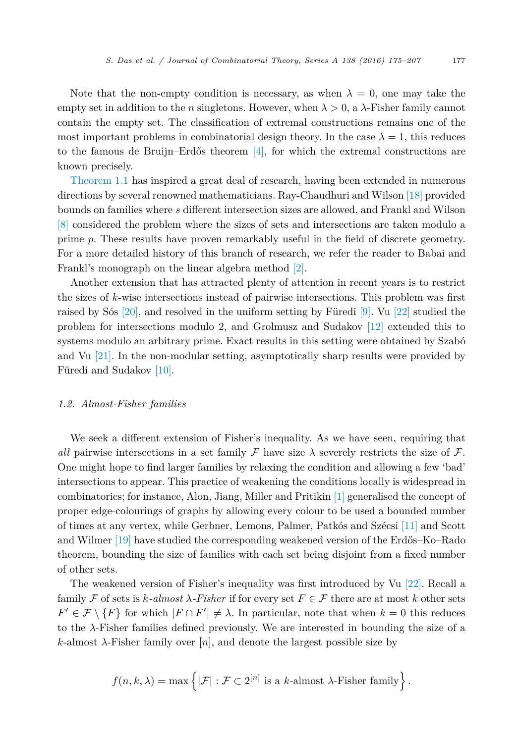Note that the non-empty condition is necessary, as when  $\lambda = 0$ , one may take the empty set in addition to the *n* singletons. However, when  $\lambda > 0$ , a  $\lambda$ -Fisher family cannot contain the empty set. The classification of extremal constructions remains one of the most important problems in combinatorial design theory. In the case  $\lambda = 1$ , this reduces to the famous de Bruijn–Erdős theorem  $[4]$ , for which the extremal constructions are known precisely.

[Theorem 1.1](#page-1-0) has inspired a great deal of research, having been extended in numerous directions by several renowned mathematicians. Ray-Chaudhuri and Wilson [\[18\]](#page-32-0) provided bounds on families where *s* different intersection sizes are allowed, and Frankl and Wilson [\[8\]](#page-32-0) considered the problem where the sizes of sets and intersections are taken modulo a prime *p*. These results have proven remarkably useful in the field of discrete geometry. For a more detailed history of this branch of research, we refer the reader to Babai and Frankl's monograph on the linear algebra method [\[2\].](#page-31-0)

Another extension that has attracted plenty of attention in recent years is to restrict the sizes of *k*-wise intersections instead of pairwise intersections. This problem was first raised by Sós [\[20\],](#page-32-0) and resolved in the uniform setting by Füredi [\[9\].](#page-32-0) Vu [\[22\]](#page-32-0) studied the problem for intersections modulo 2, and Grolmusz and Sudakov [\[12\]](#page-32-0) extended this to systems modulo an arbitrary prime. Exact results in this setting were obtained by Szabó and Vu [\[21\].](#page-32-0) In the non-modular setting, asymptotically sharp results were provided by Füredi and Sudakov [\[10\].](#page-32-0)

# *1.2. Almost-Fisher families*

We seek a different extension of Fisher's inequality. As we have seen, requiring that *all* pairwise intersections in a set family  $\mathcal F$  have size  $\lambda$  severely restricts the size of  $\mathcal F$ . One might hope to find larger families by relaxing the condition and allowing a few 'bad' intersections to appear. This practice of weakening the conditions locally is widespread in combinatorics; for instance, Alon, Jiang, Miller and Pritikin [\[1\]](#page-31-0) generalised the concept of proper edge-colourings of graphs by allowing every colour to be used a bounded number of times at any vertex, while Gerbner, Lemons, Palmer, Patkós and Szécsi [\[11\]](#page-32-0) and Scott and Wilmer [\[19\]](#page-32-0) have studied the corresponding weakened version of the Erdős–Ko–Rado theorem, bounding the size of families with each set being disjoint from a fixed number of other sets.

The weakened version of Fisher's inequality was first introduced by Vu [\[22\].](#page-32-0) Recall a family F of sets is  $k$ -almost  $\lambda$ -Fisher if for every set  $F \in \mathcal{F}$  there are at most k other sets  $F' \in \mathcal{F} \setminus \{F\}$  for which  $|F \cap F'| \neq \lambda$ . In particular, note that when  $k = 0$  this reduces to the *λ*-Fisher families defined previously. We are interested in bounding the size of a  $k$ -almost  $\lambda$ -Fisher family over [*n*], and denote the largest possible size by

$$
f(n,k,\lambda)=\max\left\{|\mathcal{F}|:\mathcal{F}\subset 2^{[n]}\text{ is a }k\text{-almost }\lambda\text{-Fisher family}\right\}.
$$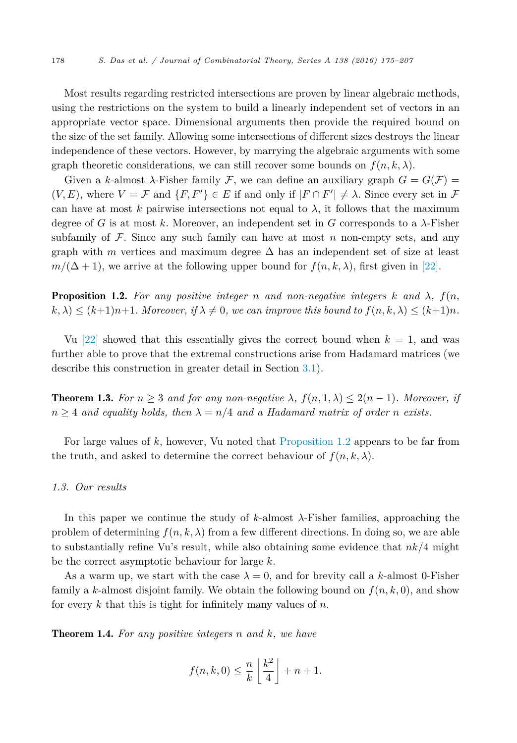<span id="page-3-0"></span>Most results regarding restricted intersections are proven by linear algebraic methods, using the restrictions on the system to build a linearly independent set of vectors in an appropriate vector space. Dimensional arguments then provide the required bound on the size of the set family. Allowing some intersections of different sizes destroys the linear independence of these vectors. However, by marrying the algebraic arguments with some graph theoretic considerations, we can still recover some bounds on  $f(n, k, \lambda)$ .

Given a *k*-almost  $\lambda$ -Fisher family F, we can define an auxiliary graph  $G = G(F)$  $(V, E)$ , where  $V = \mathcal{F}$  and  $\{F, F'\} \in E$  if and only if  $|F \cap F'| \neq \lambda$ . Since every set in  $\mathcal{F}$ can have at most *k* pairwise intersections not equal to  $\lambda$ , it follows that the maximum degree of *G* is at most *k*. Moreover, an independent set in *G* corresponds to a *λ*-Fisher subfamily of  $\mathcal F$ . Since any such family can have at most  $n$  non-empty sets, and any graph with *m* vertices and maximum degree  $\Delta$  has an independent set of size at least  $m/(\Delta+1)$ , we arrive at the following upper bound for  $f(n, k, \lambda)$ , first given in [\[22\].](#page-32-0)

**Proposition 1.2.** For any positive integer *n* and *non-negative* integers  $k$  and  $\lambda$ ,  $f(n,$  $(k, \lambda) \le (k+1)n+1$ . Moreover, if  $\lambda \neq 0$ , we can improve this bound to  $f(n, k, \lambda) \le (k+1)n$ .

Vu [\[22\]](#page-32-0) showed that this essentially gives the correct bound when  $k = 1$ , and was further able to prove that the extremal constructions arise from Hadamard matrices (we describe this construction in greater detail in Section [3.1\)](#page-8-0).

**Theorem 1.3.** For  $n \geq 3$  and for any non-negative  $\lambda$ ,  $f(n, 1, \lambda) \leq 2(n-1)$ *. Moreover, if*  $n \geq 4$  *and equality holds, then*  $\lambda = n/4$  *and a Hadamard matrix of order <i>n exists.* 

For large values of *k*, however, Vu noted that Proposition 1.2 appears to be far from the truth, and asked to determine the correct behaviour of  $f(n, k, \lambda)$ .

# *1.3. Our results*

In this paper we continue the study of *k*-almost *λ*-Fisher families, approaching the problem of determining  $f(n, k, \lambda)$  from a few different directions. In doing so, we are able to substantially refine Vu's result, while also obtaining some evidence that *nk/*4 might be the correct asymptotic behaviour for large *k*.

As a warm up, we start with the case  $\lambda = 0$ , and for brevity call a *k*-almost 0-Fisher family a *k*-almost disjoint family. We obtain the following bound on  $f(n, k, 0)$ , and show for every *k* that this is tight for infinitely many values of *n*.

Theorem 1.4. *For any positive integers n and k, we have*

$$
f(n,k,0) \leq \frac{n}{k} \left\lfloor \frac{k^2}{4} \right\rfloor + n + 1.
$$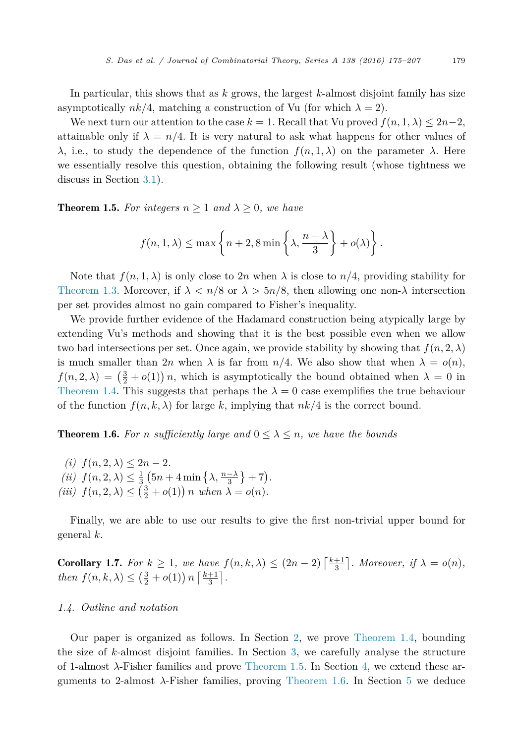<span id="page-4-0"></span>In particular, this shows that as *k* grows, the largest *k*-almost disjoint family has size asymptotically  $nk/4$ , matching a construction of Vu (for which  $\lambda = 2$ ).

We next turn our attention to the case  $k = 1$ . Recall that Vu proved  $f(n, 1, \lambda) \leq 2n-2$ , attainable only if  $\lambda = n/4$ . It is very natural to ask what happens for other values of *λ*, i.e., to study the dependence of the function  $f(n, 1, λ)$  on the parameter *λ*. Here we essentially resolve this question, obtaining the following result (whose tightness we discuss in Section [3.1\)](#page-8-0).

**Theorem 1.5.** For integers  $n \geq 1$  and  $\lambda \geq 0$ , we have

$$
f(n, 1, \lambda) \le \max \left\{ n + 2, 8 \min \left\{ \lambda, \frac{n - \lambda}{3} \right\} + o(\lambda) \right\}.
$$

Note that  $f(n, 1, \lambda)$  is only close to 2*n* when  $\lambda$  is close to  $n/4$ , providing stability for [Theorem 1.3.](#page-3-0) Moreover, if  $\lambda < n/8$  or  $\lambda > 5n/8$ , then allowing one non- $\lambda$  intersection per set provides almost no gain compared to Fisher's inequality.

We provide further evidence of the Hadamard construction being atypically large by extending Vu's methods and showing that it is the best possible even when we allow two bad intersections per set. Once again, we provide stability by showing that  $f(n, 2, \lambda)$ is much smaller than 2*n* when  $\lambda$  is far from  $n/4$ . We also show that when  $\lambda = o(n)$ ,  $f(n, 2, \lambda) = \left(\frac{3}{2} + o(1)\right)n$ , which is asymptotically the bound obtained when  $\lambda = 0$  in [Theorem 1.4.](#page-3-0) This suggests that perhaps the  $\lambda = 0$  case exemplifies the true behaviour of the function  $f(n, k, \lambda)$  for large k, implying that  $nk/4$  is the correct bound.

**Theorem 1.6.** For *n* sufficiently large and  $0 \leq \lambda \leq n$ , we have the bounds

 $f(n, 2, \lambda) \leq 2n - 2.$  $(iii) f(n, 2, \lambda) \leq \frac{1}{3} \left( 5n + 4 \min \left\{ \lambda, \frac{n-\lambda}{3} \right\} + 7 \right).$  $(iii)$   $f(n, 2, \lambda) \leq (\frac{3}{2} + o(1)) n$  *when*  $\lambda = o(n)$ *.* 

Finally, we are able to use our results to give the first non-trivial upper bound for general *k*.

**Corollary 1.7.** For  $k \geq 1$ , we have  $f(n, k, \lambda) \leq (2n - 2) \left\lceil \frac{k+1}{3} \right\rceil$ . Moreover, if  $\lambda = o(n)$ , *then*  $f(n, k, \lambda) \leq (\frac{3}{2} + o(1)) n \left\lceil \frac{k+1}{3} \right\rceil$ .

### *1.4. Outline and notation*

Our paper is organized as follows. In Section [2,](#page-5-0) we prove [Theorem 1.4,](#page-3-0) bounding the size of *k*-almost disjoint families. In Section [3,](#page-8-0) we carefully analyse the structure of 1-almost *λ*-Fisher families and prove Theorem 1.5. In Section [4,](#page-15-0) we extend these arguments to 2-almost *λ*-Fisher families, proving Theorem 1.6. In Section [5](#page-25-0) we deduce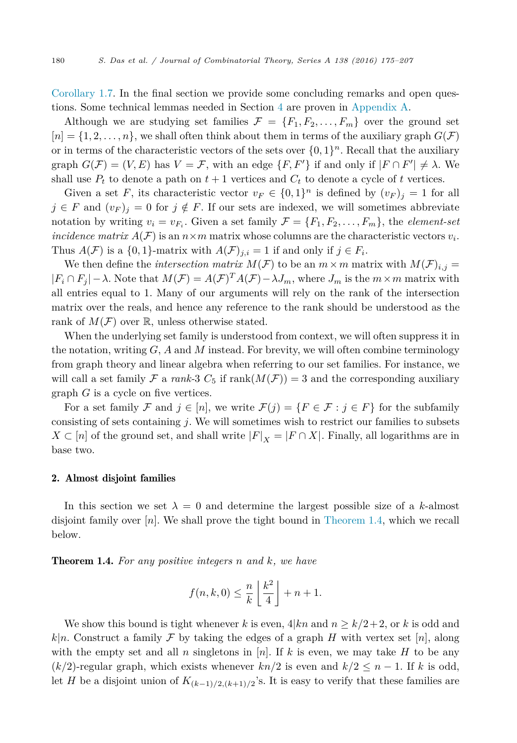<span id="page-5-0"></span>[Corollary 1.7.](#page-4-0) In the final section we provide some concluding remarks and open questions. Some technical lemmas needed in Section [4](#page-15-0) are proven in [Appendix A.](#page-26-0)

Although we are studying set families  $\mathcal{F} = \{F_1, F_2, \ldots, F_m\}$  over the ground set  $[n] = \{1, 2, \ldots, n\}$ , we shall often think about them in terms of the auxiliary graph  $G(\mathcal{F})$ or in terms of the characteristic vectors of the sets over  $\{0,1\}^n$ . Recall that the auxiliary graph  $G(\mathcal{F}) = (V, E)$  has  $V = \mathcal{F}$ , with an edge  $\{F, F'\}$  if and only if  $|F \cap F'| \neq \lambda$ . We shall use  $P_t$  to denote a path on  $t + 1$  vertices and  $C_t$  to denote a cycle of  $t$  vertices.

Given a set *F*, its characteristic vector  $v_F \in \{0,1\}^n$  is defined by  $(v_F)_i = 1$  for all *j* ∈ *F* and  $(v_F)_j = 0$  for *j* ∉ *F*. If our sets are indexed, we will sometimes abbreviate notation by writing  $v_i = v_{F_i}$ . Given a set family  $\mathcal{F} = \{F_1, F_2, \ldots, F_m\}$ , the *element-set incidence matrix*  $A(F)$  is an  $n \times m$  matrix whose columns are the characteristic vectors  $v_i$ . Thus  $A(F)$  is a  $\{0,1\}$ -matrix with  $A(F)_{i,i} = 1$  if and only if  $j \in F_i$ .

We then define the *intersection matrix*  $M(F)$  to be an  $m \times m$  matrix with  $M(F)_{i,j} =$  $|F_i \cap F_j| - \lambda$ . Note that  $M(F) = A(F)^T A(F) - \lambda J_m$ , where  $J_m$  is the  $m \times m$  matrix with all entries equal to 1. Many of our arguments will rely on the rank of the intersection matrix over the reals, and hence any reference to the rank should be understood as the rank of  $M(\mathcal{F})$  over  $\mathbb{R}$ , unless otherwise stated.

When the underlying set family is understood from context, we will often suppress it in the notation, writing  $G$ ,  $A$  and  $M$  instead. For brevity, we will often combine terminology from graph theory and linear algebra when referring to our set families. For instance, we will call a set family  $\mathcal F$  a *rank-3*  $C_5$  if  $\text{rank}(M(\mathcal F)) = 3$  and the corresponding auxiliary graph *G* is a cycle on five vertices.

For a set family F and  $j \in [n]$ , we write  $\mathcal{F}(j) = \{F \in \mathcal{F} : j \in F\}$  for the subfamily consisting of sets containing *j*. We will sometimes wish to restrict our families to subsets *X* ⊂ [*n*] of the ground set, and shall write  $|F|_X = |F \cap X|$ . Finally, all logarithms are in base two.

# 2. Almost disjoint families

In this section we set  $\lambda = 0$  and determine the largest possible size of a *k*-almost disjoint family over [*n*]. We shall prove the tight bound in [Theorem 1.4,](#page-3-0) which we recall below.

Theorem 1.4. *For any positive integers n and k, we have*

$$
f(n,k,0) \leq \frac{n}{k} \left\lfloor \frac{k^2}{4} \right\rfloor + n + 1.
$$

We show this bound is tight whenever *k* is even,  $4|kn$  and  $n \geq k/2+2$ , or *k* is odd and  $k|n$ . Construct a family F by taking the edges of a graph H with vertex set [*n*], along with the empty set and all *n* singletons in [*n*]. If *k* is even, we may take *H* to be any  $(k/2)$ -regular graph, which exists whenever  $kn/2$  is even and  $k/2 \leq n-1$ . If *k* is odd, let *H* be a disjoint union of  $K_{(k-1)/2,(k+1)/2}$ 's. It is easy to verify that these families are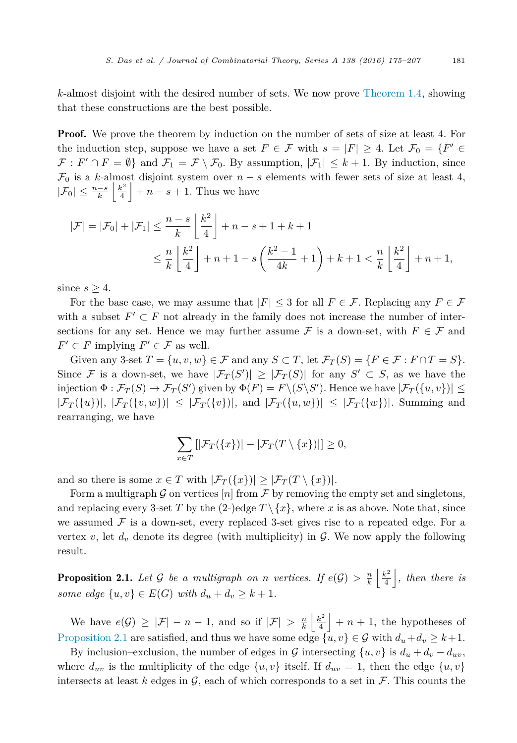<span id="page-6-0"></span>*k*-almost disjoint with the desired number of sets. We now prove [Theorem 1.4,](#page-3-0) showing that these constructions are the best possible.

**Proof.** We prove the theorem by induction on the number of sets of size at least 4. For the induction step, suppose we have a set  $F \in \mathcal{F}$  with  $s = |F| \geq 4$ . Let  $\mathcal{F}_0 = \{F' \in \mathcal{F} \mid F \geq 4\}$  $\mathcal{F}: F' \cap F = \emptyset$  and  $\mathcal{F}_1 = \mathcal{F} \setminus \mathcal{F}_0$ . By assumption,  $|\mathcal{F}_1| \leq k+1$ . By induction, since  $\mathcal{F}_0$  is a *k*-almost disjoint system over  $n - s$  elements with fewer sets of size at least 4,  $|\mathcal{F}_0| \leq \frac{n-s}{k} \left\lfloor \frac{k^2}{4} \right\rfloor + n - s + 1$ . Thus we have

$$
|\mathcal{F}| = |\mathcal{F}_0| + |\mathcal{F}_1| \le \frac{n-s}{k} \left\lfloor \frac{k^2}{4} \right\rfloor + n - s + 1 + k + 1
$$
  

$$
\le \frac{n}{k} \left\lfloor \frac{k^2}{4} \right\rfloor + n + 1 - s \left( \frac{k^2 - 1}{4k} + 1 \right) + k + 1 < \frac{n}{k} \left\lfloor \frac{k^2}{4} \right\rfloor + n + 1,
$$

since  $s \geq 4$ .

For the base case, we may assume that  $|F| \leq 3$  for all  $F \in \mathcal{F}$ . Replacing any  $F \in \mathcal{F}$ with a subset  $F' \subset F$  not already in the family does not increase the number of intersections for any set. Hence we may further assume  $\mathcal F$  is a down-set, with  $F \in \mathcal F$  and  $F' \subset F$  implying  $F' \in \mathcal{F}$  as well.

Given any 3-set  $T = \{u, v, w\} \in \mathcal{F}$  and any  $S \subset T$ , let  $\mathcal{F}_T(S) = \{F \in \mathcal{F} : F \cap T = S\}.$ Since F is a down-set, we have  $|\mathcal{F}_T(S')| \geq |\mathcal{F}_T(S)|$  for any  $S' \subset S$ , as we have the  $\inf_{\mathcal{F}} \text{F}_{T}(S) \to \mathcal{F}_{T}(S')$  given by  $\Phi(F) = F \setminus (S \setminus S')$ . Hence we have  $|\mathcal{F}_{T}(\{u, v\})| \leq$  $|\mathcal{F}_T(\{u\})|, |\mathcal{F}_T(\{v,w\})| \leq |\mathcal{F}_T(\{v\})|,$  and  $|\mathcal{F}_T(\{u,w\})| \leq |\mathcal{F}_T(\{w\})|$ . Summing and rearranging, we have

$$
\sum_{x \in T} [|\mathcal{F}_T(\{x\})| - |\mathcal{F}_T(T \setminus \{x\})|] \ge 0,
$$

and so there is some  $x \in T$  with  $|\mathcal{F}_T(\{x\})| \geq |\mathcal{F}_T(T \setminus \{x\})|$ .

Form a multigraph G on vertices  $[n]$  from F by removing the empty set and singletons, and replacing every 3-set *T* by the (2-)edge  $T \setminus \{x\}$ , where *x* is as above. Note that, since we assumed  $\mathcal F$  is a down-set, every replaced 3-set gives rise to a repeated edge. For a vertex *v*, let  $d<sub>v</sub>$  denote its degree (with multiplicity) in  $\mathcal{G}$ . We now apply the following result.

**Proposition 2.1.** Let G be a multigraph on n vertices. If  $e(G) > \frac{n}{k} \left\lfloor \frac{k^2}{4} \right\rfloor$ , then there is *some edge*  $\{u, v\} \in E(G)$  *with*  $d_u + d_v \geq k + 1$ *.* 

We have  $e(G) \geq |\mathcal{F}| - n - 1$ , and so if  $|\mathcal{F}| > \frac{n}{k} \left\lfloor \frac{k^2}{4} \right\rfloor + n + 1$ , the hypotheses of Proposition 2.1 are satisfied, and thus we have some edge  $\{\tilde{u}, v\} \in \mathcal{G}$  with  $d_u + d_v \geq k+1$ .

By inclusion–exclusion, the number of edges in G intersecting  $\{u, v\}$  is  $d_u + d_v - d_{uv}$ , where  $d_{uv}$  is the multiplicity of the edge  $\{u, v\}$  itself. If  $d_{uv} = 1$ , then the edge  $\{u, v\}$ intersects at least  $k$  edges in  $\mathcal{G}$ , each of which corresponds to a set in  $\mathcal{F}$ . This counts the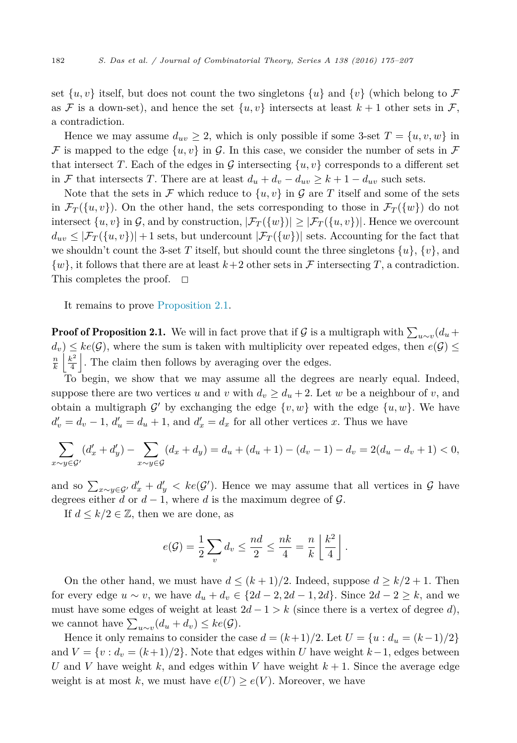set  $\{u, v\}$  itself, but does not count the two singletons  $\{u\}$  and  $\{v\}$  (which belong to F as F is a down-set), and hence the set  $\{u, v\}$  intersects at least  $k+1$  other sets in F, a contradiction.

Hence we may assume  $d_{uv} \geq 2$ , which is only possible if some 3-set  $T = \{u, v, w\}$  in F is mapped to the edge  $\{u, v\}$  in G. In this case, we consider the number of sets in F that intersect *T*. Each of the edges in G intersecting  $\{u, v\}$  corresponds to a different set in F that intersects T. There are at least  $d_u + d_v - d_{uv} \ge k + 1 - d_{uv}$  such sets.

Note that the sets in F which reduce to  $\{u, v\}$  in G are T itself and some of the sets in  $\mathcal{F}_T(\{w, v\})$ . On the other hand, the sets corresponding to those in  $\mathcal{F}_T(\{w\})$  do not intersect  $\{u, v\}$  in G, and by construction,  $|\mathcal{F}_T(\{w\})| \geq |\mathcal{F}_T(\{u, v\})|$ . Hence we overcount  $d_{uv} \leq |\mathcal{F}_T(\{u, v\})| + 1$  sets, but undercount  $|\mathcal{F}_T(\{w\})|$  sets. Accounting for the fact that we shouldn't count the 3-set *T* itself, but should count the three singletons  $\{u\}$ ,  $\{v\}$ , and  $\{w\}$ , it follows that there are at least  $k+2$  other sets in F intersecting T, a contradiction. This completes the proof.  $\square$ 

It remains to prove [Proposition 2.1.](#page-6-0)

**Proof of Proposition 2.1.** We will in fact prove that if G is a multigraph with  $\sum_{u \sim v} (d_u + d_v)$  $d_v$ )  $\leq$  *ke*( $\mathcal{G}$ ), where the sum is taken with multiplicity over repeated edges, then  $e(\mathcal{G})$   $\leq$  $\frac{n}{k}$   $\left| \frac{k^2}{4} \right|$ . The claim then follows by averaging over the edges.

To begin, we show that we may assume all the degrees are nearly equal. Indeed, suppose there are two vertices *u* and *v* with  $d_v \geq d_u + 2$ . Let *w* be a neighbour of *v*, and obtain a multigraph  $\mathcal{G}'$  by exchanging the edge  $\{v, w\}$  with the edge  $\{u, w\}$ . We have  $d'_v = d_v - 1$ ,  $d'_u = d_u + 1$ , and  $d'_x = d_x$  for all other vertices *x*. Thus we have

$$
\sum_{x \sim y \in \mathcal{G}'} (d'_x + d'_y) - \sum_{x \sim y \in \mathcal{G}} (d_x + d_y) = d_u + (d_u + 1) - (d_v - 1) - d_v = 2(d_u - d_v + 1) < 0,
$$

and so  $\sum_{x \sim y \in \mathcal{G}'} d'_x + d'_y < ke(\mathcal{G}')$ . Hence we may assume that all vertices in  $\mathcal{G}$  have degrees either *d* or  $d-1$ , where *d* is the maximum degree of  $\mathcal{G}$ .

If  $d \leq k/2 \in \mathbb{Z}$ , then we are done, as

$$
e(\mathcal{G}) = \frac{1}{2} \sum_{v} d_v \leq \frac{nd}{2} \leq \frac{nk}{4} = \frac{n}{k} \left\lfloor \frac{k^2}{4} \right\rfloor.
$$

On the other hand, we must have  $d \leq (k+1)/2$ . Indeed, suppose  $d \geq k/2 + 1$ . Then for every edge  $u \sim v$ , we have  $d_u + d_v \in \{2d - 2, 2d - 1, 2d\}$ . Since  $2d - 2 \geq k$ , and we must have some edges of weight at least  $2d - 1 > k$  (since there is a vertex of degree *d*), we cannot have  $\sum_{u \sim v} (d_u + d_v) \leq ke(G)$ .

Hence it only remains to consider the case  $d = (k+1)/2$ . Let  $U = \{u : d_u = (k-1)/2\}$ and  $V = \{v : d_v = (k+1)/2\}$ . Note that edges within *U* have weight  $k-1$ , edges between *U* and *V* have weight *k*, and edges within *V* have weight  $k + 1$ . Since the average edge weight is at most k, we must have  $e(U) \geq e(V)$ . Moreover, we have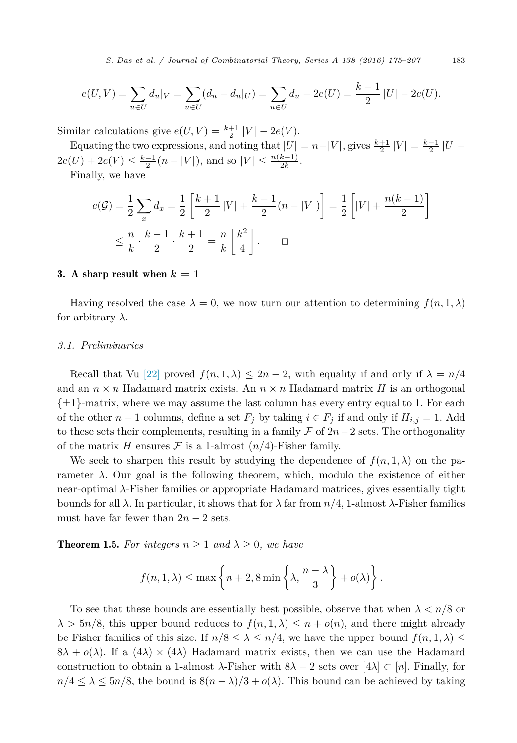*S. Das et al. / Journal of Combinatorial Theory, Series A 138 (2016) 175–207* 183

<span id="page-8-0"></span>
$$
e(U, V) = \sum_{u \in U} d_u|_V = \sum_{u \in U} (d_u - d_u|_U) = \sum_{u \in U} d_u - 2e(U) = \frac{k-1}{2} |U| - 2e(U).
$$

Similar calculations give  $e(U, V) = \frac{k+1}{2} |V| - 2e(V)$ .

Equating the two expressions, and noting that  $|U| = n - |V|$ , gives  $\frac{k+1}{2} |V| = \frac{k-1}{2} |U| 2e(U) + 2e(V) \leq \frac{k-1}{2}(n - |V|)$ , and so  $|V| \leq \frac{n(k-1)}{2k}$ .

Finally, we have

$$
e(G) = \frac{1}{2} \sum_{x} d_{x} = \frac{1}{2} \left[ \frac{k+1}{2} |V| + \frac{k-1}{2} (n-|V|) \right] = \frac{1}{2} \left[ |V| + \frac{n(k-1)}{2} \right]
$$
  

$$
\leq \frac{n}{k} \cdot \frac{k-1}{2} \cdot \frac{k+1}{2} = \frac{n}{k} \left\lfloor \frac{k^{2}}{4} \right\rfloor. \qquad \Box
$$

#### 3. A sharp result when  $k = 1$

Having resolved the case  $\lambda = 0$ , we now turn our attention to determining  $f(n, 1, \lambda)$ for arbitrary *λ*.

# *3.1. Preliminaries*

Recall that Vu [\[22\]](#page-32-0) proved  $f(n, 1, \lambda) \leq 2n - 2$ , with equality if and only if  $\lambda = n/4$ and an  $n \times n$  Hadamard matrix exists. An  $n \times n$  Hadamard matrix *H* is an orthogonal  $\{\pm 1\}$ -matrix, where we may assume the last column has every entry equal to 1. For each of the other *n* − 1 columns, define a set  $F_j$  by taking  $i \in F_j$  if and only if  $H_{i,j} = 1$ . Add to these sets their complements, resulting in a family F of 2*n*−2 sets. The orthogonality of the matrix *H* ensures  $\mathcal F$  is a 1-almost  $(n/4)$ -Fisher family.

We seek to sharpen this result by studying the dependence of  $f(n, 1, \lambda)$  on the parameter *λ*. Our goal is the following theorem, which, modulo the existence of either near-optimal *λ*-Fisher families or appropriate Hadamard matrices, gives essentially tight bounds for all *λ*. In particular, it shows that for *λ* far from *n/*4, 1-almost *λ*-Fisher families must have far fewer than  $2n - 2$  sets.

**Theorem 1.5.** For integers  $n \geq 1$  and  $\lambda \geq 0$ , we have

$$
f(n, 1, \lambda) \le \max \left\{ n + 2, 8 \min \left\{ \lambda, \frac{n - \lambda}{3} \right\} + o(\lambda) \right\}.
$$

To see that these bounds are essentially best possible, observe that when  $\lambda < n/8$  or  $\lambda > 5n/8$ , this upper bound reduces to  $f(n, 1, \lambda) \leq n + o(n)$ , and there might already be Fisher families of this size. If  $n/8 \leq \lambda \leq n/4$ , we have the upper bound  $f(n, 1, \lambda) \leq$  $8\lambda + o(\lambda)$ . If a  $(4\lambda) \times (4\lambda)$  Hadamard matrix exists, then we can use the Hadamard construction to obtain a 1-almost  $\lambda$ -Fisher with  $8\lambda - 2$  sets over  $[4\lambda] \subset [n]$ . Finally, for  $n/4 \leq \lambda \leq 5n/8$ , the bound is  $8(n - \lambda)/3 + o(\lambda)$ . This bound can be achieved by taking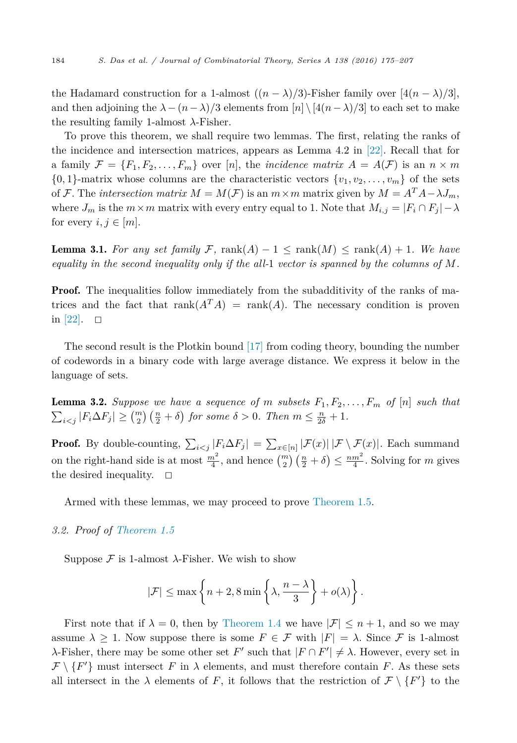<span id="page-9-0"></span>the Hadamard construction for a 1-almost  $((n - \lambda)/3)$ -Fisher family over  $[4(n - \lambda)/3]$ , and then adjoining the  $\lambda - (n - \lambda)/3$  elements from  $[n] \setminus [4(n - \lambda)/3]$  to each set to make the resulting family 1-almost *λ*-Fisher.

To prove this theorem, we shall require two lemmas. The first, relating the ranks of the incidence and intersection matrices, appears as Lemma 4.2 in [\[22\].](#page-32-0) Recall that for a family  $\mathcal{F} = \{F_1, F_2, \ldots, F_m\}$  over [*n*], the *incidence matrix*  $A = A(\mathcal{F})$  is an  $n \times m$  $\{0,1\}$ -matrix whose columns are the characteristic vectors  $\{v_1, v_2, \ldots, v_m\}$  of the sets of F. The *intersection matrix*  $M = M(F)$  is an  $m \times m$  matrix given by  $M = A^T A - \lambda J_m$ , where  $J_m$  is the  $m \times m$  matrix with every entry equal to 1. Note that  $M_{i,j} = |F_i \cap F_j| - \lambda$ for every  $i, j \in [m]$ .

**Lemma 3.1.** For any set family F, rank $(A) - 1 \leq \text{rank}(M) \leq \text{rank}(A) + 1$ . We have *equality in the second inequality only if the all-*1 *vector is spanned by the columns of M.*

**Proof.** The inequalities follow immediately from the subadditivity of the ranks of matrices and the fact that  $\text{rank}(A^T A) = \text{rank}(A)$ . The necessary condition is proven in  $[22]$ .  $\Box$ 

The second result is the Plotkin bound [\[17\]](#page-32-0) from coding theory, bounding the number of codewords in a binary code with large average distance. We express it below in the language of sets.

**Lemma 3.2.** Suppose we have a sequence of m subsets  $F_1, F_2, \ldots, F_m$  of  $[n]$  such that  $\sum_{i < j} |F_i \Delta F_j| \geq {m \choose 2} \left(\frac{n}{2} + \delta\right)$  *for some*  $\delta > 0$ *. Then*  $m \leq \frac{n}{2\delta} + 1$ *.* 

**Proof.** By double-counting,  $\sum_{i < j} |F_i \Delta F_j| = \sum_{x \in [n]} |\mathcal{F}(x)| |\mathcal{F} \setminus \mathcal{F}(x)|$ . Each summand on the right-hand side is at most  $\frac{m^2}{4}$ , and hence  $\binom{m}{2}$   $\left(\frac{n}{2} + \delta\right) \le \frac{nm^2}{4}$ . Solving for *m* gives the desired inequality.  $\square$ 

Armed with these lemmas, we may proceed to prove [Theorem 1.5.](#page-4-0)

*3.2. Proof of [Theorem 1.5](#page-4-0)*

Suppose  $\mathcal F$  is 1-almost  $\lambda$ -Fisher. We wish to show

$$
|\mathcal{F}| \leq \max\left\{n+2, 8\min\left\{\lambda, \frac{n-\lambda}{3}\right\} + o(\lambda)\right\}.
$$

First note that if  $\lambda = 0$ , then by [Theorem 1.4](#page-3-0) we have  $|\mathcal{F}| \leq n+1$ , and so we may assume  $\lambda \geq 1$ . Now suppose there is some  $F \in \mathcal{F}$  with  $|F| = \lambda$ . Since  $\mathcal{F}$  is 1-almost  $\lambda$ -Fisher, there may be some other set *F*' such that  $|F \cap F'| \neq \lambda$ . However, every set in  $\mathcal{F}\setminus\{F'\}$  must intersect *F* in  $\lambda$  elements, and must therefore contain *F*. As these sets all intersect in the  $\lambda$  elements of *F*, it follows that the restriction of  $\mathcal{F}\setminus\{F'\}$  to the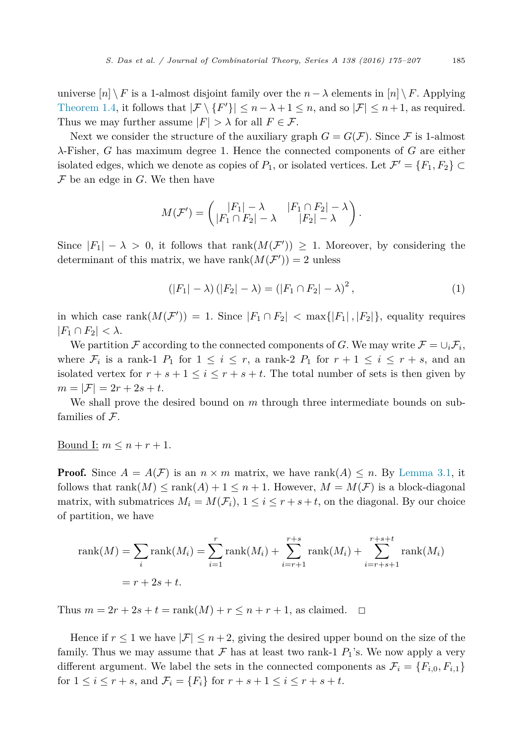<span id="page-10-0"></span>universe  $[n] \setminus F$  is a 1-almost disjoint family over the  $n - \lambda$  elements in  $[n] \setminus F$ . Applying [Theorem 1.4,](#page-3-0) it follows that  $|\mathcal{F} \setminus \{F'\}| \leq n - \lambda + 1 \leq n$ , and so  $|\mathcal{F}| \leq n + 1$ , as required. Thus we may further assume  $|F| > \lambda$  for all  $F \in \mathcal{F}$ .

Next we consider the structure of the auxiliary graph  $G = G(\mathcal{F})$ . Since  $\mathcal F$  is 1-almost *λ*-Fisher, *G* has maximum degree 1. Hence the connected components of *G* are either isolated edges, which we denote as copies of  $P_1$ , or isolated vertices. Let  $\mathcal{F}' = \{F_1, F_2\} \subset$  $\mathcal F$  be an edge in  $G$ . We then have

$$
M(\mathcal{F}') = \begin{pmatrix} |F_1| - \lambda & |F_1 \cap F_2| - \lambda \\ |F_1 \cap F_2| - \lambda & |F_2| - \lambda \end{pmatrix}.
$$

Since  $|F_1| - \lambda > 0$ , it follows that rank $(M(\mathcal{F}')) \geq 1$ . Moreover, by considering the determinant of this matrix, we have  $\text{rank}(M(\mathcal{F}')) = 2$  unless

$$
(|F_1| - \lambda) (|F_2| - \lambda) = (|F_1 \cap F_2| - \lambda)^2, \tag{1}
$$

in which case  $rank(M(\mathcal{F}')) = 1$ . Since  $|F_1 \cap F_2| < max\{|F_1|, |F_2|\}$ , equality requires  $|F_1 \cap F_2| < \lambda$ .

We partition F according to the connected components of G. We may write  $\mathcal{F} = \cup_i \mathcal{F}_i$ , where  $\mathcal{F}_i$  is a rank-1  $P_1$  for  $1 \leq i \leq r$ , a rank-2  $P_1$  for  $r + 1 \leq i \leq r + s$ , and an isolated vertex for  $r + s + 1 \leq i \leq r + s + t$ . The total number of sets is then given by  $m = |\mathcal{F}| = 2r + 2s + t.$ 

We shall prove the desired bound on *m* through three intermediate bounds on subfamilies of  $\mathcal{F}$ .

Bound I:  $m \leq n + r + 1$ .

**Proof.** Since  $A = A(F)$  is an  $n \times m$  matrix, we have rank $(A) \leq n$ . By [Lemma 3.1,](#page-9-0) it follows that rank $(M) \leq \text{rank}(A) + 1 \leq n + 1$ . However,  $M = M(F)$  is a block-diagonal matrix, with submatrices  $M_i = M(\mathcal{F}_i)$ ,  $1 \leq i \leq r + s + t$ , on the diagonal. By our choice of partition, we have

rank(M) = 
$$
\sum_{i}
$$
 rank(M<sub>i</sub>) =  $\sum_{i=1}^{r}$  rank(M<sub>i</sub>) +  $\sum_{i=r+1}^{r+s}$  rank(M<sub>i</sub>) +  $\sum_{i=r+s+1}^{r+s+t}$  rank(M<sub>i</sub>)  
=  $r + 2s + t$ .

Thus  $m = 2r + 2s + t = \text{rank}(M) + r \leq n + r + 1$ , as claimed.  $\Box$ 

Hence if  $r \leq 1$  we have  $|\mathcal{F}| \leq n+2$ , giving the desired upper bound on the size of the family. Thus we may assume that  $\mathcal F$  has at least two rank-1  $P_1$ 's. We now apply a very different argument. We label the sets in the connected components as  $\mathcal{F}_i = \{F_{i,0}, F_{i,1}\}\$ for  $1 \le i \le r + s$ , and  $\mathcal{F}_i = \{F_i\}$  for  $r + s + 1 \le i \le r + s + t$ .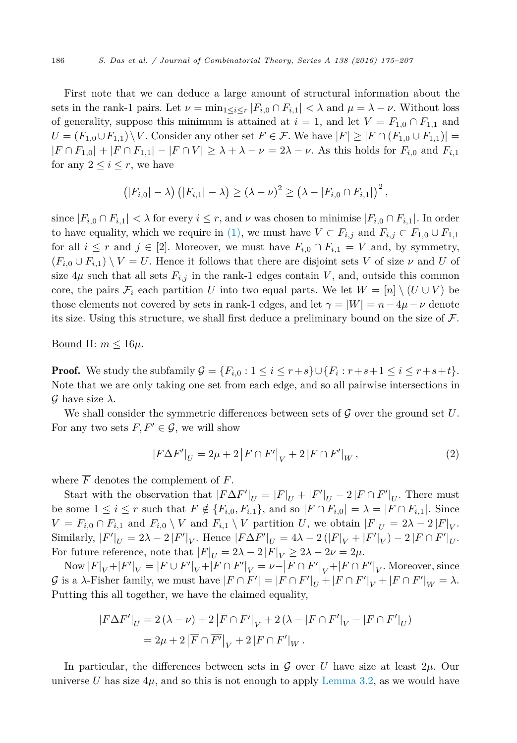<span id="page-11-0"></span>First note that we can deduce a large amount of structural information about the sets in the rank-1 pairs. Let  $\nu = \min_{1 \leq i \leq r} |F_{i,0} \cap F_{i,1}| < \lambda$  and  $\mu = \lambda - \nu$ . Without loss of generality, suppose this minimum is attained at  $i = 1$ , and let  $V = F_{1,0} \cap F_{1,1}$  and *U* =  $(F_{1,0} \cup F_{1,1}) \setminus V$ . Consider any other set *F* ∈ *F*. We have  $|F| ≥ |F ∩ (F_{1,0} ∪ F_{1,1})|$  =  $|F \cap F_{1,0}| + |F \cap F_{1,1}| - |F \cap V| \geq \lambda + \lambda - \nu = 2\lambda - \nu$ . As this holds for  $F_{i,0}$  and  $F_{i,1}$ for any  $2 \leq i \leq r$ , we have

$$
(|F_{i,0}|- \lambda) (|F_{i,1}|- \lambda) \geq (\lambda - \nu)^2 \geq (\lambda - |F_{i,0} \cap F_{i,1}|)^2,
$$

since  $|F_{i,0} \cap F_{i,1}| < \lambda$  for every  $i \leq r$ , and  $\nu$  was chosen to minimise  $|F_{i,0} \cap F_{i,1}|$ . In order to have equality, which we require in [\(1\),](#page-10-0) we must have  $V \subset F_{i,j}$  and  $F_{i,j} \subset F_{1,0} \cup F_{1,1}$ for all  $i \leq r$  and  $j \in [2]$ . Moreover, we must have  $F_{i,0} \cap F_{i,1} = V$  and, by symmetry,  $(F_{i,0} \cup F_{i,1}) \setminus V = U$ . Hence it follows that there are disjoint sets *V* of size *v* and *U* of size  $4\mu$  such that all sets  $F_{i,j}$  in the rank-1 edges contain *V*, and, outside this common core, the pairs  $\mathcal{F}_i$  each partition *U* into two equal parts. We let  $W = [n] \setminus (U \cup V)$  be those elements not covered by sets in rank-1 edges, and let  $\gamma = |W| = n - 4\mu - \nu$  denote its size. Using this structure, we shall first deduce a preliminary bound on the size of  $\mathcal F$ .

# <u>Bound II:</u>  $m \leq 16\mu$ .

**Proof.** We study the subfamily  $\mathcal{G} = \{F_{i,0} : 1 \leq i \leq r+s\} \cup \{F_i : r+s+1 \leq i \leq r+s+t\}.$ Note that we are only taking one set from each edge, and so all pairwise intersections in G have size  $\lambda$ .

We shall consider the symmetric differences between sets of  $\mathcal G$  over the ground set  $U$ . For any two sets  $F, F' \in \mathcal{G}$ , we will show

$$
|F\Delta F'|_U = 2\mu + 2|\overline{F} \cap \overline{F'}|_V + 2|F \cap F'|_W, \qquad (2)
$$

where  $\overline{F}$  denotes the complement of  $F$ .

Start with the observation that  $|F\Delta F'|_U = |F|_U + |F'|_U - 2|F\cap F'|_U$ . There must be some  $1 \leq i \leq r$  such that  $F \notin \{F_{i,0}, F_{i,1}\}$ , and so  $|F \cap F_{i,0}| = \lambda = |F \cap F_{i,1}|$ . Since  $V = F_{i,0} \cap F_{i,1}$  and  $F_{i,0} \setminus V$  and  $F_{i,1} \setminus V$  partition *U*, we obtain  $|F|_U = 2\lambda - 2|F|_V$ .  $\text{Similarly, } |F'|_U = 2\lambda - 2|F'|_V. \text{ Hence } |F\Delta F'|_U = 4\lambda - 2(|F|_V + |F'|_V) - 2|F \cap F'|_U.$ For future reference, note that  $|F|_U = 2\lambda - 2|F|_V \geq 2\lambda - 2\nu = 2\mu$ .

 $\text{Now } |F|_V + |F'|_V = |F \cup F'|_V + |F \cap F'|_V = \nu - |\overline{F} \cap \overline{F'}|_V + |F \cap F'|_V.$  Moreover, since G is a  $\lambda$ -Fisher family, we must have  $|F \cap F'| = |F \cap F'|_U + |F \cap F'|_V + |F \cap F'|_W = \lambda$ . Putting this all together, we have the claimed equality,

$$
\begin{aligned} |F\Delta F'|_U&=2\left(\lambda-\nu\right)+2\left|\overline{F}\cap\overline{F'}\right|_V+2\left(\lambda-\left|F\cap F'\right|_V-\left|F\cap F'\right|_U\right)\\ &=2\mu+2\left|\overline{F}\cap\overline{F'}\right|_V+2\left|F\cap F'\right|_W. \end{aligned}
$$

In particular, the differences between sets in  $\mathcal G$  over  $U$  have size at least  $2\mu$ . Our universe *U* has size  $4\mu$ , and so this is not enough to apply [Lemma 3.2,](#page-9-0) as we would have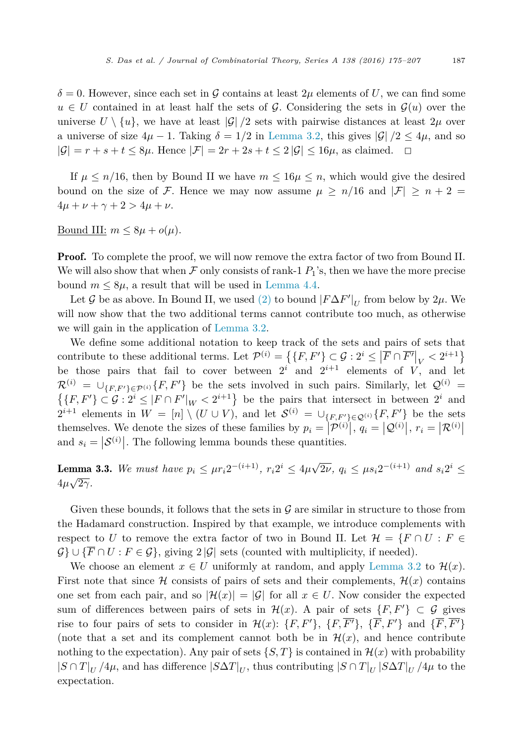<span id="page-12-0"></span> $\delta = 0$ . However, since each set in G contains at least  $2\mu$  elements of U, we can find some  $u \in U$  contained in at least half the sets of G. Considering the sets in  $\mathcal{G}(u)$  over the universe  $U \setminus \{u\}$ , we have at least  $|\mathcal{G}|/2$  sets with pairwise distances at least  $2\mu$  over a universe of size  $4\mu - 1$ . Taking  $\delta = 1/2$  in [Lemma 3.2,](#page-9-0) this gives  $|\mathcal{G}|/2 \le 4\mu$ , and so  $|\mathcal{G}| = r + s + t \leq 8\mu$ . Hence  $|\mathcal{F}| = 2r + 2s + t \leq 2 |\mathcal{G}| \leq 16\mu$ , as claimed.  $\Box$ 

If  $\mu \leq n/16$ , then by Bound II we have  $m \leq 16\mu \leq n$ , which would give the desired bound on the size of F. Hence we may now assume  $\mu \geq n/16$  and  $|\mathcal{F}| \geq n+2$  $4\mu + \nu + \gamma + 2 > 4\mu + \nu$ .

Bound III:  $m \leq 8\mu + o(\mu)$ .

**Proof.** To complete the proof, we will now remove the extra factor of two from Bound II. We will also show that when  $\mathcal F$  only consists of rank-1  $P_1$ 's, then we have the more precise bound  $m \leq 8\mu$ , a result that will be used in [Lemma 4.4.](#page-19-0)

Let  $\mathcal G$  be as above. In Bound II, we used [\(2\)](#page-11-0) to bound  $|F\Delta F'|_U$  from below by  $2\mu$ . We will now show that the two additional terms cannot contribute too much, as otherwise we will gain in the application of [Lemma 3.2.](#page-9-0)

We define some additional notation to keep track of the sets and pairs of sets that contribute to these additional terms. Let  $\mathcal{P}^{(i)} = \left\{ \{F, F'\} \subset \mathcal{G} : 2^i \leq \left| \overline{F} \cap \overline{F'} \right|_V < 2^{i+1} \right\}$ be those pairs that fail to cover between  $2^i$  and  $2^{i+1}$  elements of *V*, and let  $\mathcal{R}^{(i)} \; = \; \cup_{\{F,F'\} \in \mathcal{P}^{(i)}} \{F,F'\}$  $\mathcal{R}^{(i)} = \bigcup_{\{F, F'\} \in \mathcal{P}^{(i)}} \{F, F'\}$  be the sets involved in such pairs. Similarly, let  $\mathcal{Q}^{(i)} = \{F, F'\} \subset \mathcal{G} : 2^i \leq |F \cap F'|_{W} < 2^{i+1}\}$  be the pairs that intersect in between  $2^i$  and  $\{F, F'\} \subset \mathcal{G}: 2^i \leq |F \cap F'|_W < 2^{i+1}\}$  be the pairs that intersect in between  $2^i$  and  $2^{i+1}$  elements in  $W = [n] \setminus (U \cup V)$ , and let  $S^{(i)} = \bigcup_{\{F,F'\}\in \mathcal{Q}^{(i)}} \{F,F'\}$  be the sets themselves. We denote the sizes of these families by  $p_i = |\mathcal{P}^{(i)}|$ ,  $q_i = |\mathcal{Q}^{(i)}|$ ,  $r_i = |\mathcal{R}^{(i)}|$ and  $s_i = |\mathcal{S}^{(i)}|$ . The following lemma bounds these quantities.

**Lemma 3.3.** We must have  $p_i \leq \mu r_i 2^{-(i+1)}$ ,  $r_i 2^i \leq 4\mu \sqrt{2\nu}$ ,  $q_i \leq \mu s_i 2^{-(i+1)}$  and  $s_i 2^i \leq$  $4\mu\sqrt{2\gamma}$ .

Given these bounds, it follows that the sets in  $\mathcal G$  are similar in structure to those from the Hadamard construction. Inspired by that example, we introduce complements with respect to *U* to remove the extra factor of two in Bound II. Let  $\mathcal{H} = \{F \cap U : F \in$  $\mathcal{G}$   $\cup$  { $\overline{F} \cap U$  :  $F \in \mathcal{G}$ }, giving 2 | $\mathcal{G}$ | sets (counted with multiplicity, if needed).

We choose an element  $x \in U$  uniformly at random, and apply [Lemma 3.2](#page-9-0) to  $\mathcal{H}(x)$ . First note that since H consists of pairs of sets and their complements,  $\mathcal{H}(x)$  contains one set from each pair, and so  $|\mathcal{H}(x)| = |\mathcal{G}|$  for all  $x \in U$ . Now consider the expected sum of differences between pairs of sets in  $\mathcal{H}(x)$ . A pair of sets  $\{F, F'\} \subset \mathcal{G}$  gives rise to four pairs of sets to consider in  $\mathcal{H}(x)$ :  $\{F, F'\}$ ,  $\{F, F'\}$ ,  $\{F, F'\}$  and  $\{F, F'\}$ (note that a set and its complement cannot both be in  $\mathcal{H}(x)$ , and hence contribute nothing to the expectation). Any pair of sets  $\{S, T\}$  is contained in  $\mathcal{H}(x)$  with probability  $|S \cap T|_U$  /4*μ*, and has difference  $|S \Delta T|_U$ , thus contributing  $|S \cap T|_U |S \Delta T|_U$  /4*μ* to the expectation.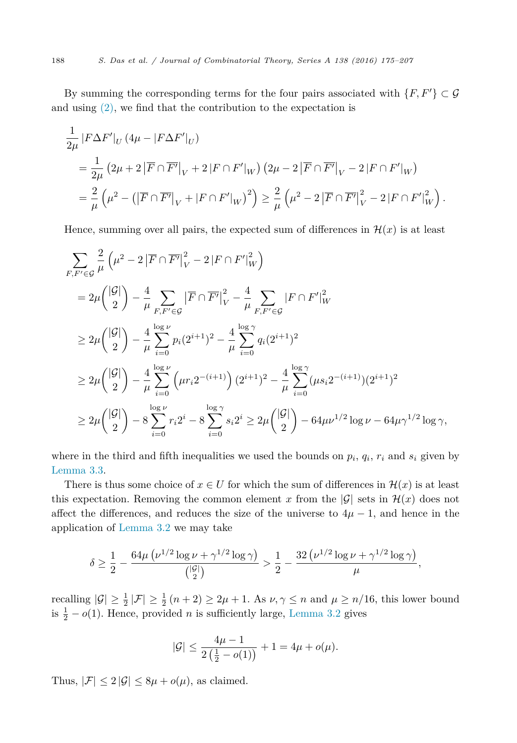By summing the corresponding terms for the four pairs associated with  $\{F, F'\} \subset \mathcal{G}$ and using  $(2)$ , we find that the contribution to the expectation is

$$
\frac{1}{2\mu} |F\Delta F'|_U (4\mu - |F\Delta F'|_U) \n= \frac{1}{2\mu} (2\mu + 2 |F \cap \overline{F'}|_V + 2 |F \cap F'|_W) (2\mu - 2 |F \cap \overline{F'}|_V - 2 |F \cap F'|_W) \n= \frac{2}{\mu} (\mu^2 - (|\overline{F} \cap \overline{F'}|_V + |F \cap F'|_W)^2) \ge \frac{2}{\mu} (\mu^2 - 2 |\overline{F} \cap \overline{F'}|_V^2 - 2 |F \cap F'|_W)^2.
$$

Hence, summing over all pairs, the expected sum of differences in  $\mathcal{H}(x)$  is at least

$$
\sum_{F,F'\in\mathcal{G}} \frac{2}{\mu} \left( \mu^2 - 2 \left| \overline{F} \cap \overline{F'} \right|_{V}^2 - 2 \left| F \cap F' \right|_{W}^2 \right)
$$
\n
$$
= 2\mu \binom{|\mathcal{G}|}{2} - \frac{4}{\mu} \sum_{F,F'\in\mathcal{G}} \left| \overline{F} \cap \overline{F'} \right|_{V}^2 - \frac{4}{\mu} \sum_{F,F'\in\mathcal{G}} \left| F \cap F' \right|_{W}^2
$$
\n
$$
\geq 2\mu \binom{|\mathcal{G}|}{2} - \frac{4}{\mu} \sum_{i=0}^{\log \nu} p_i (2^{i+1})^2 - \frac{4}{\mu} \sum_{i=0}^{\log \gamma} q_i (2^{i+1})^2
$$
\n
$$
\geq 2\mu \binom{|\mathcal{G}|}{2} - \frac{4}{\mu} \sum_{i=0}^{\log \nu} \left( \mu r_i 2^{-(i+1)} \right) (2^{i+1})^2 - \frac{4}{\mu} \sum_{i=0}^{\log \gamma} (\mu s_i 2^{-(i+1)}) (2^{i+1})^2
$$
\n
$$
\geq 2\mu \binom{|\mathcal{G}|}{2} - 8 \sum_{i=0}^{\log \nu} r_i 2^i - 8 \sum_{i=0}^{\log \gamma} s_i 2^i \geq 2\mu \binom{|\mathcal{G}|}{2} - 64\mu \nu^{1/2} \log \nu - 64\mu \gamma^{1/2} \log \gamma,
$$

where in the third and fifth inequalities we used the bounds on  $p_i$ ,  $q_i$ ,  $r_i$  and  $s_i$  given by [Lemma 3.3.](#page-12-0)

There is thus some choice of  $x \in U$  for which the sum of differences in  $\mathcal{H}(x)$  is at least this expectation. Removing the common element x from the  $|\mathcal{G}|$  sets in  $\mathcal{H}(x)$  does not affect the differences, and reduces the size of the universe to  $4\mu - 1$ , and hence in the application of [Lemma 3.2](#page-9-0) we may take

$$
\delta \geq \frac{1}{2} - \frac{64\mu \left(\nu^{1/2} \log \nu + \gamma^{1/2} \log \gamma\right)}{{|S|\choose 2}} > \frac{1}{2} - \frac{32 \left(\nu^{1/2} \log \nu + \gamma^{1/2} \log \gamma\right)}{\mu},
$$

recalling  $|\mathcal{G}| \ge \frac{1}{2} |\mathcal{F}| \ge \frac{1}{2} (n+2) \ge 2\mu + 1$ . As  $\nu, \gamma \le n$  and  $\mu \ge n/16$ , this lower bound is  $\frac{1}{2} - o(1)$ . Hence, provided *n* is sufficiently large, [Lemma 3.2](#page-9-0) gives

$$
|\mathcal{G}| \le \frac{4\mu - 1}{2\left(\frac{1}{2} - o(1)\right)} + 1 = 4\mu + o(\mu).
$$

Thus,  $|\mathcal{F}| \leq 2 |\mathcal{G}| \leq 8\mu + o(\mu)$ , as claimed.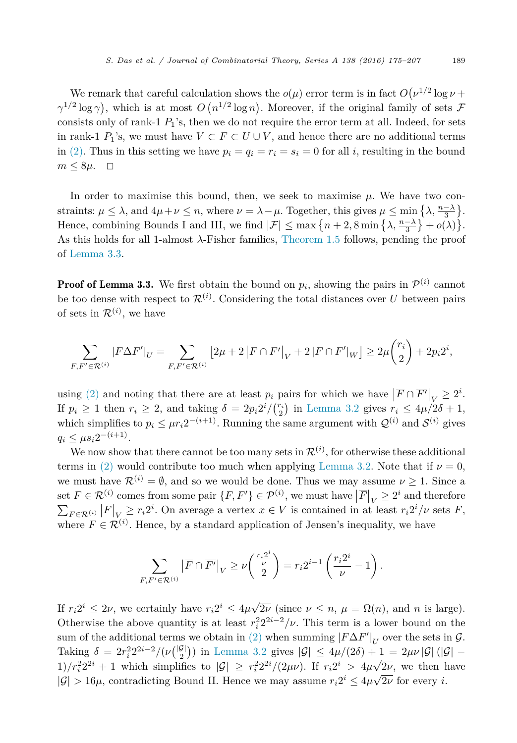We remark that careful calculation shows the  $o(\mu)$  error term is in fact  $O(\nu^{1/2} \log \nu +$  $\gamma^{1/2} \log \gamma$ ), which is at most  $O(n^{1/2} \log n)$ . Moreover, if the original family of sets  $\mathcal{F}$ consists only of rank-1  $P_1$ 's, then we do not require the error term at all. Indeed, for sets in rank-1  $P_1$ 's, we must have  $V \subset F \subset U \cup V$ , and hence there are no additional terms in [\(2\).](#page-11-0) Thus in this setting we have  $p_i = q_i = r_i = s_i = 0$  for all *i*, resulting in the bound  $m \leq 8\mu$ .  $\Box$ 

In order to maximise this bound, then, we seek to maximise  $\mu$ . We have two constraints:  $\mu \leq \lambda$ , and  $4\mu + \nu \leq n$ , where  $\nu = \lambda - \mu$ . Together, this gives  $\mu \leq \min\left\{\lambda, \frac{n-\lambda}{3}\right\}$ . Hence, combining Bounds I and III, we find  $|\mathcal{F}| \le \max\left\{n+2, 8\min\left\{\lambda, \frac{n-\lambda}{3}\right\} + o(\lambda)\right\}.$ As this holds for all 1-almost *λ*-Fisher families, [Theorem 1.5](#page-4-0) follows, pending the proof of [Lemma 3.3.](#page-12-0)

**Proof of Lemma 3.3.** We first obtain the bound on  $p_i$ , showing the pairs in  $\mathcal{P}^{(i)}$  cannot be too dense with respect to  $\mathcal{R}^{(i)}$ . Considering the total distances over *U* between pairs of sets in  $\mathcal{R}^{(i)}$ , we have

$$
\sum_{F,F'\in\mathcal{R}^{(i)}}|F\Delta F'|_U = \sum_{F,F'\in\mathcal{R}^{(i)}}\left[2\mu + 2\left|\overline{F}\cap\overline{F'}\right|_V + 2\left|F\cap F'\right|_W\right] \ge 2\mu\binom{r_i}{2} + 2p_i2^i,
$$

using [\(2\)](#page-11-0) and noting that there are at least  $p_i$  pairs for which we have  $|\overline{F} \cap \overline{F'}|_V \geq 2^i$ . If  $p_i \geq 1$  then  $r_i \geq 2$ , and taking  $\delta = 2p_i 2^i / {r_i \choose 2}$  in [Lemma 3.2](#page-9-0) gives  $r_i \leq 4\mu/2\delta + 1$ , which simplifies to  $p_i \n\t\leq \mu r_i 2^{-(i+1)}$ . Running the same argument with  $\mathcal{Q}^{(i)}$  and  $\mathcal{S}^{(i)}$  gives  $q_i \leq \mu s_i 2^{-(i+1)}$ .

We now show that there cannot be too many sets in  $\mathcal{R}^{(i)}$ , for otherwise these additional terms in [\(2\)](#page-11-0) would contribute too much when applying [Lemma 3.2.](#page-9-0) Note that if  $\nu = 0$ , we must have  $\mathcal{R}^{(i)} = \emptyset$ , and so we would be done. Thus we may assume  $\nu \geq 1$ . Since a set  $F \in \mathcal{R}^{(i)}$  comes from some pair  $\{F, F'\} \in \mathcal{P}^{(i)}$ , we must have  $\left| \overline{F} \right|_V \geq 2^i$  and therefore  $\sum_{F \in \mathcal{R}^{(i)}} |\overline{F}|_V \ge r_i 2^i$ . On average a vertex  $x \in V$  is contained in at least  $r_i 2^i / \nu$  sets  $\overline{F}$ , where  $F \in \mathcal{R}^{(i)}$ . Hence, by a standard application of Jensen's inequality, we have

$$
\sum_{F,F'\in\mathcal{R}^{(i)}}\left|\overline{F}\cap\overline{F'}\right|_V\geq\nu\left(\frac{\frac{r_i2^i}{\nu}}{2}\right)=r_i2^{i-1}\left(\frac{r_i2^i}{\nu}-1\right).
$$

If  $r_i 2^i \leq 2\nu$ , we certainly have  $r_i 2^i \leq 4\mu\sqrt{2\nu}$  (since  $\nu \leq n$ ,  $\mu = \Omega(n)$ , and *n* is large). Otherwise the above quantity is at least  $r_i^2 2^{2i-2}/\nu$ . This term is a lower bound on the sum of the additional terms we obtain in [\(2\)](#page-11-0) when summing  $|F\Delta F'|_U$  over the sets in  $\mathcal{G}$ . Taking  $\delta = 2r_i^2 2^{2i-2}/(\nu{\binom{|G|}{2}})$  in [Lemma 3.2](#page-9-0) gives  $|\mathcal{G}| \le 4\mu/(2\delta) + 1 = 2\mu\nu |\mathcal{G}| (|\mathcal{G}| -$ 1)/ $r_i^2 2^{2i} + 1$  which simplifies to  $|\mathcal{G}| \geq r_i^2 2^{2i} / (2\mu \nu)$ . If  $r_i 2^{i} > 4\mu \sqrt{2\nu}$ , we then have  $|\mathcal{G}| > 16\mu$ , contradicting Bound II. Hence we may assume  $r_i 2^i \leq 4\mu\sqrt{2\nu}$  for every *i*.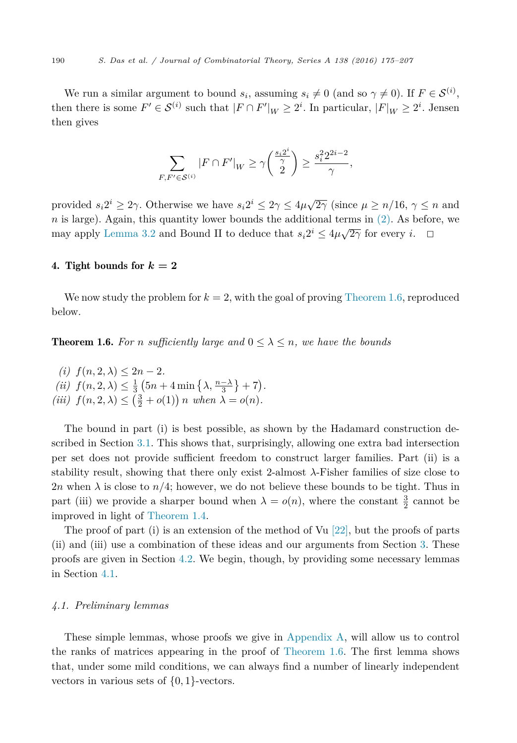<span id="page-15-0"></span>We run a similar argument to bound  $s_i$ , assuming  $s_i \neq 0$  (and so  $\gamma \neq 0$ ). If  $F \in \mathcal{S}^{(i)}$ , then there is some  $F' \in S^{(i)}$  such that  $|F \cap F'|_W \geq 2^i$ . In particular,  $|F|_W \geq 2^i$ . Jensen then gives

$$
\sum_{F,F'\in\mathcal{S}^{(i)}}|F\cap F'|_W\geq \gamma\bigg(\frac{\frac{s_i2^i}{\gamma}}{2}\bigg)\geq \frac{s_i^22^{2i-2}}{\gamma},
$$

provided  $s_i 2^i \geq 2\gamma$ . Otherwise we have  $s_i 2^i \leq 2\gamma \leq 4\mu\sqrt{2\gamma}$  (since  $\mu \geq n/16$ ,  $\gamma \leq n$  and  $n$  is large). Again, this quantity lower bounds the additional terms in  $(2)$ . As before, we may apply [Lemma 3.2](#page-9-0) and Bound II to deduce that  $s_i 2^i \leq 4\mu\sqrt{2\gamma}$  for every *i*.  $\Box$ 

# 4. Tight bounds for  $k = 2$

We now study the problem for  $k = 2$ , with the goal of proving [Theorem 1.6,](#page-4-0) reproduced below.

**Theorem 1.6.** For *n* sufficiently large and  $0 \leq \lambda \leq n$ , we have the bounds

 $f(n, 2, \lambda) \leq 2n - 2.$  $(iii)$   $f(n, 2, \lambda) \leq \frac{1}{3} (5n + 4 \min{\{\lambda, \frac{n-\lambda}{3}\}} + 7).$  $(iii)$   $f(n, 2, \lambda) \leq (\frac{3}{2} + o(1)) n$  *when*  $\lambda = o(n)$ *.* 

The bound in part (i) is best possible, as shown by the Hadamard construction described in Section [3.1.](#page-8-0) This shows that, surprisingly, allowing one extra bad intersection per set does not provide sufficient freedom to construct larger families. Part (ii) is a stability result, showing that there only exist 2-almost  $\lambda$ -Fisher families of size close to 2*n* when  $\lambda$  is close to  $n/4$ ; however, we do not believe these bounds to be tight. Thus in part (iii) we provide a sharper bound when  $\lambda = o(n)$ , where the constant  $\frac{3}{2}$  cannot be improved in light of [Theorem 1.4.](#page-3-0)

The proof of part (i) is an extension of the method of Vu  $[22]$ , but the proofs of parts (ii) and (iii) use a combination of these ideas and our arguments from Section [3.](#page-8-0) These proofs are given in Section [4.2.](#page-16-0) We begin, though, by providing some necessary lemmas in Section 4.1.

#### *4.1. Preliminary lemmas*

These simple lemmas, whose proofs we give in [Appendix A,](#page-26-0) will allow us to control the ranks of matrices appearing in the proof of [Theorem 1.6.](#page-4-0) The first lemma shows that, under some mild conditions, we can always find a number of linearly independent vectors in various sets of {0*,* 1}-vectors.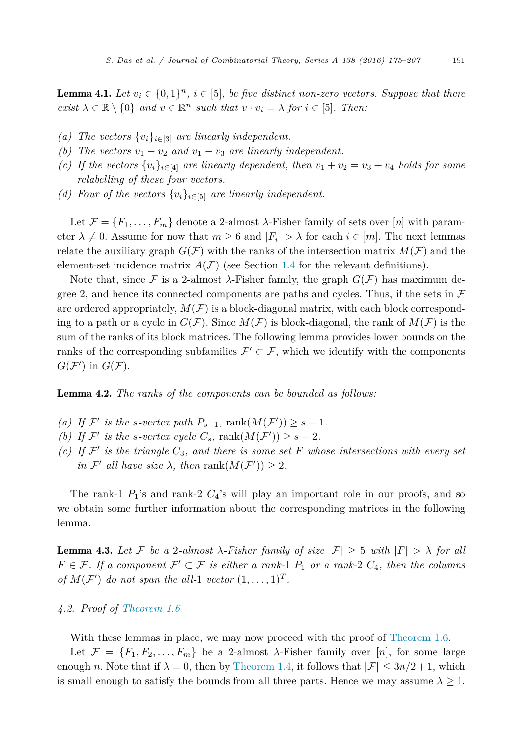<span id="page-16-0"></span>**Lemma 4.1.** Let  $v_i \in \{0,1\}^n$ ,  $i \in [5]$ , be five distinct non-zero vectors. Suppose that there  $exist \lambda \in \mathbb{R} \setminus \{0\}$  *and*  $v \in \mathbb{R}^n$  *such that*  $v \cdot v_i = \lambda$  *for*  $i \in [5]$ *. Then:* 

- *(a)* The vectors  $\{v_i\}_{i \in [3]}$  *are linearly independent.*
- *(b)* The vectors  $v_1 v_2$  and  $v_1 v_3$  are linearly independent.
- *(c)* If the vectors  $\{v_i\}_{i\in [4]}$  are linearly dependent, then  $v_1 + v_2 = v_3 + v_4$  holds for some *relabelling of these four vectors.*
- *(d)* Four of the vectors  $\{v_i\}_{i \in [5]}$  are linearly independent.

Let  $\mathcal{F} = \{F_1, \ldots, F_m\}$  denote a 2-almost  $\lambda$ -Fisher family of sets over [*n*] with parameter  $\lambda \neq 0$ . Assume for now that  $m \geq 6$  and  $|F_i| > \lambda$  for each  $i \in [m]$ . The next lemmas relate the auxiliary graph  $G(\mathcal{F})$  with the ranks of the intersection matrix  $M(\mathcal{F})$  and the element-set incidence matrix  $A(F)$  (see Section [1.4](#page-4-0) for the relevant definitions).

Note that, since F is a 2-almost  $\lambda$ -Fisher family, the graph  $G(\mathcal{F})$  has maximum degree 2, and hence its connected components are paths and cycles. Thus, if the sets in  $\mathcal F$ are ordered appropriately,  $M(F)$  is a block-diagonal matrix, with each block corresponding to a path or a cycle in  $G(\mathcal{F})$ . Since  $M(\mathcal{F})$  is block-diagonal, the rank of  $M(\mathcal{F})$  is the sum of the ranks of its block matrices. The following lemma provides lower bounds on the ranks of the corresponding subfamilies  $\mathcal{F}' \subset \mathcal{F}$ , which we identify with the components  $G(\mathcal{F}')$  in  $G(\mathcal{F})$ .

Lemma 4.2. *The ranks of the components can be bounded as follows:*

- (a) If  $\mathcal{F}'$  is the *s*-vertex path  $P_{s-1}$ , rank $(M(\mathcal{F}')) \geq s-1$ .
- *(b)* If  $\mathcal{F}'$  is the *s*-vertex cycle  $C_s$ , rank $(M(\mathcal{F}')) \geq s 2$ .
- $f(c)$  If  $\mathcal{F}'$  *is the triangle*  $C_3$ *, and there is some set*  $F$  *whose intersections with every set*  $\mathcal{F}'$  *all* have *size*  $\lambda$ *,* then  $\text{rank}(M(\mathcal{F}')) \geq 2$ *.*

The rank-1  $P_1$ 's and rank-2  $C_4$ 's will play an important role in our proofs, and so we obtain some further information about the corresponding matrices in the following lemma.

**Lemma 4.3.** Let F be a 2-almost  $\lambda$ -Fisher family of size  $|\mathcal{F}| \geq 5$  with  $|F| > \lambda$  for all  $F \in \mathcal{F}$ . If a component  $\mathcal{F}' \subset \mathcal{F}$  is either a rank-1  $P_1$  or a rank-2  $C_4$ , then the columns *of*  $M(F')$  *do not span the all*-1 *vector*  $(1, \ldots, 1)^T$ *.* 

# *4.2. Proof of [Theorem 1.6](#page-4-0)*

With these lemmas in place, we may now proceed with the proof of [Theorem 1.6.](#page-4-0)

Let  $\mathcal{F} = \{F_1, F_2, \ldots, F_m\}$  be a 2-almost  $\lambda$ -Fisher family over [*n*], for some large enough *n*. Note that if  $\lambda = 0$ , then by [Theorem 1.4,](#page-3-0) it follows that  $|\mathcal{F}| \leq 3n/2+1$ , which is small enough to satisfy the bounds from all three parts. Hence we may assume  $\lambda \geq 1$ .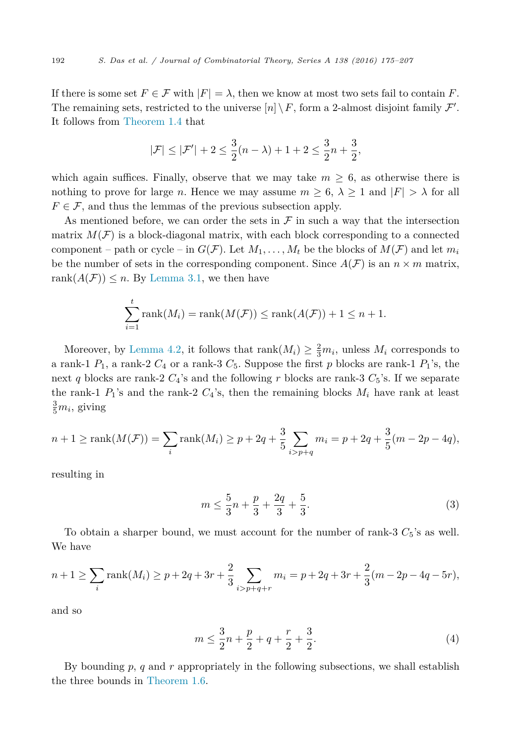<span id="page-17-0"></span>If there is some set  $F \in \mathcal{F}$  with  $|F| = \lambda$ , then we know at most two sets fail to contain *F*. The remaining sets, restricted to the universe  $[n] \setminus F$ , form a 2-almost disjoint family  $\mathcal{F}'$ . It follows from [Theorem 1.4](#page-3-0) that

$$
|\mathcal{F}| \leq |\mathcal{F}'| + 2 \leq \frac{3}{2}(n - \lambda) + 1 + 2 \leq \frac{3}{2}n + \frac{3}{2},
$$

which again suffices. Finally, observe that we may take  $m \geq 6$ , as otherwise there is nothing to prove for large *n*. Hence we may assume  $m \geq 6$ ,  $\lambda \geq 1$  and  $|F| > \lambda$  for all  $F \in \mathcal{F}$ , and thus the lemmas of the previous subsection apply.

As mentioned before, we can order the sets in  $\mathcal F$  in such a way that the intersection matrix  $M(\mathcal{F})$  is a block-diagonal matrix, with each block corresponding to a connected component – path or cycle – in  $G(\mathcal{F})$ . Let  $M_1, \ldots, M_t$  be the blocks of  $M(\mathcal{F})$  and let  $m_i$ be the number of sets in the corresponding component. Since  $A(F)$  is an  $n \times m$  matrix, rank $(A(F)) \leq n$ . By [Lemma 3.1,](#page-9-0) we then have

$$
\sum_{i=1}^{t} \text{rank}(M_{i}) = \text{rank}(M(\mathcal{F})) \leq \text{rank}(A(\mathcal{F})) + 1 \leq n + 1.
$$

Moreover, by [Lemma 4.2,](#page-16-0) it follows that  $\text{rank}(M_i) \geq \frac{2}{3}m_i$ , unless  $M_i$  corresponds to a rank-1  $P_1$ , a rank-2  $C_4$  or a rank-3  $C_5$ . Suppose the first p blocks are rank-1  $P_1$ 's, the next *q* blocks are rank-2  $C_4$ 's and the following *r* blocks are rank-3  $C_5$ 's. If we separate the rank-1  $P_1$ 's and the rank-2  $C_4$ 's, then the remaining blocks  $M_i$  have rank at least  $\frac{3}{5}m_i$ , giving

$$
n+1 \ge \operatorname{rank}(M(\mathcal{F})) = \sum_{i} \operatorname{rank}(M_{i}) \ge p + 2q + \frac{3}{5} \sum_{i > p+q} m_{i} = p + 2q + \frac{3}{5}(m - 2p - 4q),
$$

resulting in

$$
m \le \frac{5}{3}n + \frac{p}{3} + \frac{2q}{3} + \frac{5}{3}.
$$
 (3)

To obtain a sharper bound, we must account for the number of rank-3  $C_5$ 's as well. We have

$$
n+1 \ge \sum_{i} \text{rank}(M_i) \ge p + 2q + 3r + \frac{2}{3} \sum_{i>p+q+r} m_i = p + 2q + 3r + \frac{2}{3}(m - 2p - 4q - 5r),
$$

and so

$$
m \le \frac{3}{2}n + \frac{p}{2} + q + \frac{r}{2} + \frac{3}{2}.
$$
\n(4)

By bounding *p*, *q* and *r* appropriately in the following subsections, we shall establish the three bounds in [Theorem 1.6.](#page-4-0)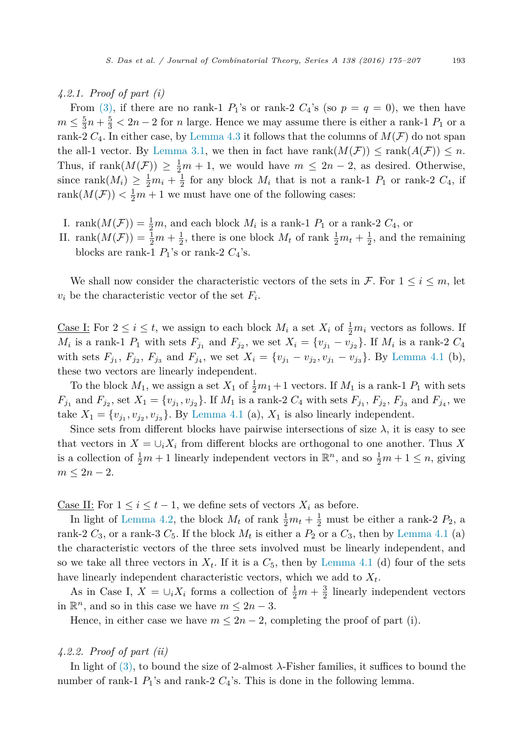# *4.2.1. Proof of part (i)*

From [\(3\),](#page-17-0) if there are no rank-1  $P_1$ 's or rank-2  $C_4$ 's (so  $p = q = 0$ ), we then have  $m \leq \frac{5}{3}n + \frac{5}{3} < 2n - 2$  for *n* large. Hence we may assume there is either a rank-1 *P*<sub>1</sub> or a rank-2  $C_4$ . In either case, by [Lemma 4.3](#page-16-0) it follows that the columns of  $M(F)$  do not span the all-1 vector. By [Lemma 3.1,](#page-9-0) we then in fact have rank $(M(\mathcal{F})) \leq \text{rank}(A(\mathcal{F})) \leq n$ . Thus, if rank $(M(\mathcal{F})) \geq \frac{1}{2}m + 1$ , we would have  $m \leq 2n - 2$ , as desired. Otherwise, since rank $(M_i) \geq \frac{1}{2}m_i + \frac{1}{2}$  for any block  $M_i$  that is not a rank-1  $P_1$  or rank-2  $C_4$ , if rank $(M(\mathcal{F})) < \frac{1}{2}m + 1$  we must have one of the following cases:

- I. rank $(M(\mathcal{F})) = \frac{1}{2}m$ , and each block  $M_i$  is a rank-1  $P_1$  or a rank-2  $C_4$ , or
- II. rank $(M(\mathcal{F})) = \frac{1}{2}m + \frac{1}{2}$ , there is one block  $M_t$  of rank  $\frac{1}{2}m_t + \frac{1}{2}$ , and the remaining blocks are rank-1  $P_1$ 's or rank-2  $C_4$ 's.

We shall now consider the characteristic vectors of the sets in  $\mathcal{F}$ . For  $1 \leq i \leq m$ , let  $v_i$  be the characteristic vector of the set  $F_i$ .

<u>Case I:</u> For  $2 \leq i \leq t$ , we assign to each block  $M_i$  a set  $X_i$  of  $\frac{1}{2}m_i$  vectors as follows. If *M*<sub>i</sub> is a rank-1 *P*<sub>1</sub> with sets  $F_{j_1}$  and  $F_{j_2}$ , we set  $X_i = \{v_{j_1} - v_{j_2}\}$ . If  $M_i$  is a rank-2  $C_4$ with sets  $F_{j_1}$ ,  $F_{j_2}$ ,  $F_{j_3}$  and  $F_{j_4}$ , we set  $X_i = \{v_{j_1} - v_{j_2}, v_{j_1} - v_{j_3}\}$ . By [Lemma 4.1](#page-16-0) (b), these two vectors are linearly independent.

To the block  $M_1$ , we assign a set  $X_1$  of  $\frac{1}{2}m_1 + 1$  vectors. If  $M_1$  is a rank-1  $P_1$  with sets  $F_{j_1}$  and  $F_{j_2}$ , set  $X_1 = \{v_{j_1}, v_{j_2}\}\.$  If  $M_1$  is a rank-2  $C_4$  with sets  $F_{j_1}, F_{j_2}, F_{j_3}$  and  $F_{j_4}$ , we take  $X_1 = \{v_{j_1}, v_{j_2}, v_{j_3}\}$ . By [Lemma 4.1](#page-16-0) (a),  $X_1$  is also linearly independent.

Since sets from different blocks have pairwise intersections of size  $\lambda$ , it is easy to see that vectors in  $X = \bigcup_i X_i$  from different blocks are orthogonal to one another. Thus X is a collection of  $\frac{1}{2}m + 1$  linearly independent vectors in  $\mathbb{R}^n$ , and so  $\frac{1}{2}m + 1 \leq n$ , giving  $m \leq 2n - 2$ .

<u>Case II:</u> For  $1 \leq i \leq t-1$ , we define sets of vectors  $X_i$  as before.

In light of [Lemma 4.2,](#page-16-0) the block  $M_t$  of rank  $\frac{1}{2}m_t + \frac{1}{2}$  must be either a rank-2  $P_2$ , a rank-2  $C_3$ , or a rank-3  $C_5$ . If the block  $M_t$  is either a  $P_2$  or a  $C_3$ , then by [Lemma 4.1](#page-16-0) (a) the characteristic vectors of the three sets involved must be linearly independent, and so we take all three vectors in  $X_t$ . If it is a  $C_5$ , then by [Lemma 4.1](#page-16-0) (d) four of the sets have linearly independent characteristic vectors, which we add to *Xt*.

As in Case I,  $X = \bigcup_i X_i$  forms a collection of  $\frac{1}{2}m + \frac{3}{2}$  linearly independent vectors in  $\mathbb{R}^n$ , and so in this case we have  $m \leq 2n-3$ .

Hence, in either case we have  $m \leq 2n - 2$ , completing the proof of part (i).

# *4.2.2. Proof of part (ii)*

In light of [\(3\),](#page-17-0) to bound the size of 2-almost *λ*-Fisher families, it suffices to bound the number of rank-1  $P_1$ 's and rank-2  $C_4$ 's. This is done in the following lemma.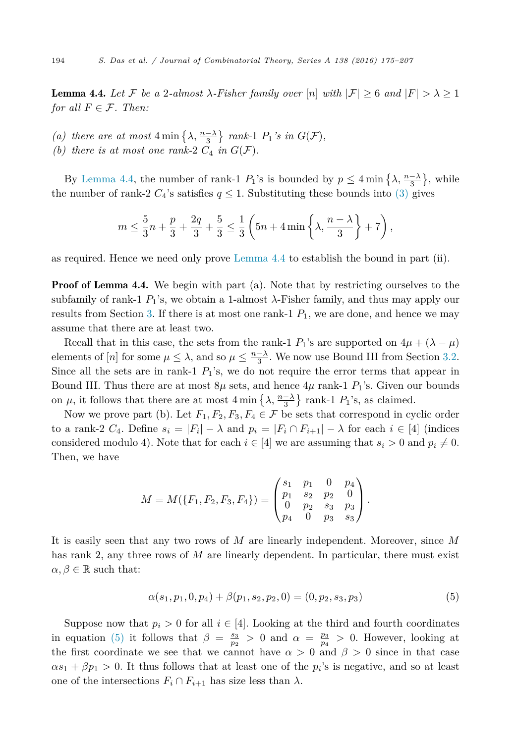<span id="page-19-0"></span>**Lemma 4.4.** Let F be a 2-almost  $\lambda$ -Fisher family over [n] with  $|\mathcal{F}| > 6$  and  $|F| > \lambda > 1$ *for all*  $F \in \mathcal{F}$ *. Then:* 

- (a) there are at most  $4 \min\left\{\lambda, \frac{n-\lambda}{3}\right\}$  rank-1  $P_1$ 's in  $G(\mathcal{F})$ *,*
- *(b)* there *is* at most one rank-2  $C_4$  *in*  $G(\mathcal{F})$ *.*

By Lemma 4.4, the number of rank-1  $P_1$ 's is bounded by  $p \leq 4 \min\left\{\lambda, \frac{n-\lambda}{3}\right\}$ , while the number of rank-2  $C_4$ 's satisfies  $q \leq 1$ . Substituting these bounds into [\(3\)](#page-17-0) gives

$$
m \le \frac{5}{3}n + \frac{p}{3} + \frac{2q}{3} + \frac{5}{3} \le \frac{1}{3} \left( 5n + 4 \min \left\{ \lambda, \frac{n - \lambda}{3} \right\} + 7 \right),
$$

as required. Hence we need only prove Lemma 4.4 to establish the bound in part (ii).

**Proof of Lemma 4.4.** We begin with part (a). Note that by restricting ourselves to the subfamily of rank-1  $P_1$ 's, we obtain a 1-almost  $\lambda$ -Fisher family, and thus may apply our results from Section [3.](#page-8-0) If there is at most one rank-1  $P_1$ , we are done, and hence we may assume that there are at least two.

Recall that in this case, the sets from the rank-1 *P*<sub>1</sub>'s are supported on  $4\mu + (\lambda - \mu)$ elements of [*n*] for some  $\mu \leq \lambda$ , and so  $\mu \leq \frac{n-\lambda}{3}$ . We now use Bound III from Section [3.2.](#page-9-0) Since all the sets are in rank-1  $P_1$ 's, we do not require the error terms that appear in Bound III. Thus there are at most  $8\mu$  sets, and hence  $4\mu$  rank-1  $P_1$ 's. Given our bounds on  $\mu$ , it follows that there are at most  $4 \min \{ \lambda, \frac{n-\lambda}{3} \}$  rank-1  $P_1$ 's, as claimed.

Now we prove part (b). Let  $F_1, F_2, F_3, F_4 \in \mathcal{F}$  be sets that correspond in cyclic order to a rank-2  $C_4$ . Define  $s_i = |F_i| - \lambda$  and  $p_i = |F_i \cap F_{i+1}| - \lambda$  for each  $i \in [4]$  (indices considered modulo 4). Note that for each  $i \in [4]$  we are assuming that  $s_i > 0$  and  $p_i \neq 0$ . Then, we have

$$
M = M(\lbrace F_1, F_2, F_3, F_4 \rbrace) = \begin{pmatrix} s_1 & p_1 & 0 & p_4 \\ p_1 & s_2 & p_2 & 0 \\ 0 & p_2 & s_3 & p_3 \\ p_4 & 0 & p_3 & s_3 \end{pmatrix}.
$$

It is easily seen that any two rows of *M* are linearly independent. Moreover, since *M* has rank 2, any three rows of *M* are linearly dependent. In particular, there must exist  $\alpha, \beta \in \mathbb{R}$  such that:

$$
\alpha(s_1, p_1, 0, p_4) + \beta(p_1, s_2, p_2, 0) = (0, p_2, s_3, p_3)
$$
\n
$$
(5)
$$

Suppose now that  $p_i > 0$  for all  $i \in [4]$ . Looking at the third and fourth coordinates in equation (5) it follows that  $\beta = \frac{s_3}{p_2} > 0$  and  $\alpha = \frac{p_3}{p_4} > 0$ . However, looking at the first coordinate we see that we cannot have  $\alpha > 0$  and  $\beta > 0$  since in that case  $\alpha s_1 + \beta p_1 > 0$ . It thus follows that at least one of the  $p_i$ 's is negative, and so at least one of the intersections  $F_i \cap F_{i+1}$  has size less than  $\lambda$ .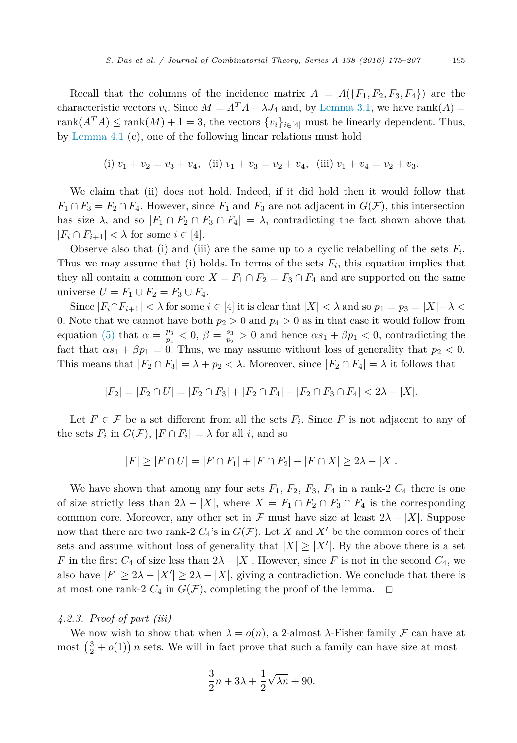Recall that the columns of the incidence matrix  $A = A({F_1, F_2, F_3, F_4})$  are the characteristic vectors  $v_i$ . Since  $M = A^T A - \lambda J_4$  and, by [Lemma 3.1,](#page-9-0) we have rank(*A*) = rank $(A^T A) \leq \text{rank}(M) + 1 = 3$ , the vectors  $\{v_i\}_{i \in [4]}$  must be linearly dependent. Thus, by [Lemma 4.1](#page-16-0) (c), one of the following linear relations must hold

(i) 
$$
v_1 + v_2 = v_3 + v_4
$$
, (ii)  $v_1 + v_3 = v_2 + v_4$ , (iii)  $v_1 + v_4 = v_2 + v_3$ .

We claim that (ii) does not hold. Indeed, if it did hold then it would follow that  $F_1 \cap F_3 = F_2 \cap F_4$ . However, since  $F_1$  and  $F_3$  are not adjacent in  $G(\mathcal{F})$ , this intersection has size  $\lambda$ , and so  $|F_1 \cap F_2 \cap F_3 \cap F_4| = \lambda$ , contradicting the fact shown above that  $|F_i \cap F_{i+1}| < \lambda$  for some  $i \in [4]$ .

Observe also that (i) and (iii) are the same up to a cyclic relabelling of the sets  $F_i$ . Thus we may assume that (i) holds. In terms of the sets  $F_i$ , this equation implies that they all contain a common core  $X = F_1 \cap F_2 = F_3 \cap F_4$  and are supported on the same universe  $U = F_1 ∪ F_2 = F_3 ∪ F_4$ .

Since  $|F_i \cap F_{i+1}| < \lambda$  for some  $i \in [4]$  it is clear that  $|X| < \lambda$  and so  $p_1 = p_3 = |X| - \lambda <$ 0. Note that we cannot have both  $p_2 > 0$  and  $p_4 > 0$  as in that case it would follow from equation [\(5\)](#page-19-0) that  $\alpha = \frac{p_3}{p_4} < 0$ ,  $\beta = \frac{s_3}{p_2} > 0$  and hence  $\alpha s_1 + \beta p_1 < 0$ , contradicting the fact that  $\alpha s_1 + \beta p_1 = 0$ . Thus, we may assume without loss of generality that  $p_2 < 0$ . This means that  $|F_2 \cap F_3| = \lambda + p_2 < \lambda$ . Moreover, since  $|F_2 \cap F_4| = \lambda$  it follows that

$$
|F_2| = |F_2 \cap U| = |F_2 \cap F_3| + |F_2 \cap F_4| - |F_2 \cap F_3 \cap F_4| < 2\lambda - |X|.
$$

Let  $F \in \mathcal{F}$  be a set different from all the sets  $F_i$ . Since F is not adjacent to any of the sets  $F_i$  in  $G(\mathcal{F}), |F \cap F_i| = \lambda$  for all *i*, and so

$$
|F| \ge |F \cap U| = |F \cap F_1| + |F \cap F_2| - |F \cap X| \ge 2\lambda - |X|.
$$

We have shown that among any four sets  $F_1$ ,  $F_2$ ,  $F_3$ ,  $F_4$  in a rank-2  $C_4$  there is one of size strictly less than  $2\lambda - |X|$ , where  $X = F_1 \cap F_2 \cap F_3 \cap F_4$  is the corresponding common core. Moreover, any other set in  $\mathcal F$  must have size at least  $2\lambda - |X|$ . Suppose now that there are two rank-2  $C_4$ 's in  $G(\mathcal{F})$ . Let *X* and *X'* be the common cores of their sets and assume without loss of generality that  $|X| \geq |X'|$ . By the above there is a set *F* in the first  $C_4$  of size less than  $2\lambda - |X|$ . However, since *F* is not in the second  $C_4$ , we also have  $|F| \geq 2\lambda - |X'| \geq 2\lambda - |X|$ , giving a contradiction. We conclude that there is at most one rank-2  $C_4$  in  $G(\mathcal{F})$ , completing the proof of the lemma.  $\Box$ 

# *4.2.3. Proof of part (iii)*

We now wish to show that when  $\lambda = o(n)$ , a 2-almost  $\lambda$ -Fisher family  $\mathcal F$  can have at most  $\left(\frac{3}{2} + o(1)\right)n$  sets. We will in fact prove that such a family can have size at most

$$
\frac{3}{2}n + 3\lambda + \frac{1}{2}\sqrt{\lambda n} + 90.
$$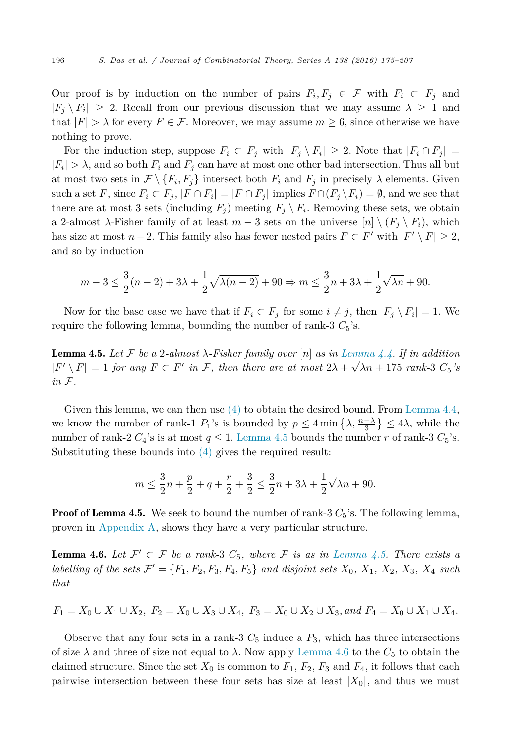<span id="page-21-0"></span>Our proof is by induction on the number of pairs  $F_i, F_j \in \mathcal{F}$  with  $F_i \subset F_j$  and  $|F_i \n\setminus F_i| \geq 2$ . Recall from our previous discussion that we may assume  $\lambda \geq 1$  and that  $|F| > \lambda$  for every  $F \in \mathcal{F}$ . Moreover, we may assume  $m \geq 6$ , since otherwise we have nothing to prove.

For the induction step, suppose  $F_i \subset F_j$  with  $|F_j \setminus F_i| \geq 2$ . Note that  $|F_i \cap F_j|$  $|F_i| > \lambda$ , and so both  $F_i$  and  $F_j$  can have at most one other bad intersection. Thus all but at most two sets in  $\mathcal{F}\setminus\{F_i, F_j\}$  intersect both  $F_i$  and  $F_j$  in precisely  $\lambda$  elements. Given such a set *F*, since  $F_i \subset F_j$ ,  $|F \cap F_i| = |F \cap F_j|$  implies  $F \cap (F_j \setminus F_i) = \emptyset$ , and we see that there are at most 3 sets (including  $F_i$ ) meeting  $F_i \setminus F_i$ . Removing these sets, we obtain a 2-almost λ-Fisher family of at least  $m-3$  sets on the universe  $[n] \setminus (F_i \setminus F_i)$ , which has size at most  $n-2$ . This family also has fewer nested pairs  $F \subset F'$  with  $|F' \setminus F| \geq 2$ , and so by induction

$$
m-3\leq \frac{3}{2}(n-2)+3\lambda+\frac{1}{2}\sqrt{\lambda(n-2)}+90\Rightarrow m\leq \frac{3}{2}n+3\lambda+\frac{1}{2}\sqrt{\lambda n}+90.
$$

Now for the base case we have that if  $F_i \subset F_j$  for some  $i \neq j$ , then  $|F_i \setminus F_i| = 1$ . We require the following lemma, bounding the number of rank-3  $C_5$ 's.

**Lemma 4.5.** Let F be a 2-almost  $\lambda$ -Fisher family over  $[n]$  as in [Lemma 4.4.](#page-19-0) If in addition  $|F' \setminus F| = 1$  *for any*  $F \subset F'$  *in*  $\mathcal{F}$ *, then there are at most*  $2\lambda + \sqrt{\lambda n} + 175$  *rank-3*  $C_5$ 's *in* F*.*

Given this lemma, we can then use  $(4)$  to obtain the desired bound. From [Lemma 4.4,](#page-19-0) we know the number of rank-1  $P_1$ 's is bounded by  $p \leq 4 \min\left\{\lambda, \frac{n-\lambda}{3}\right\} \leq 4\lambda$ , while the number of rank-2  $C_4$ 's is at most  $q \leq 1$ . Lemma 4.5 bounds the number *r* of rank-3  $C_5$ 's. Substituting these bounds into [\(4\)](#page-17-0) gives the required result:

$$
m \le \frac{3}{2}n + \frac{p}{2} + q + \frac{r}{2} + \frac{3}{2} \le \frac{3}{2}n + 3\lambda + \frac{1}{2}\sqrt{\lambda n} + 90.
$$

**Proof of Lemma 4.5.** We seek to bound the number of rank- $3 C_5$ 's. The following lemma, proven in [Appendix A,](#page-26-0) shows they have a very particular structure.

**Lemma 4.6.** Let  $\mathcal{F}' \subset \mathcal{F}$  be a rank-3  $C_5$ , where  $\mathcal{F}$  is as in Lemma 4.5. There exists a labelling of the sets  $\mathcal{F}' = \{F_1, F_2, F_3, F_4, F_5\}$  and disjoint sets  $X_0, X_1, X_2, X_3, X_4$  such *that*

$$
F_1 = X_0 \cup X_1 \cup X_2, \ F_2 = X_0 \cup X_3 \cup X_4, \ F_3 = X_0 \cup X_2 \cup X_3, \ and \ F_4 = X_0 \cup X_1 \cup X_4.
$$

Observe that any four sets in a rank-3  $C_5$  induce a  $P_3$ , which has three intersections of size  $\lambda$  and three of size not equal to  $\lambda$ . Now apply Lemma 4.6 to the  $C_5$  to obtain the claimed structure. Since the set  $X_0$  is common to  $F_1$ ,  $F_2$ ,  $F_3$  and  $F_4$ , it follows that each pairwise intersection between these four sets has size at least |*X*0|, and thus we must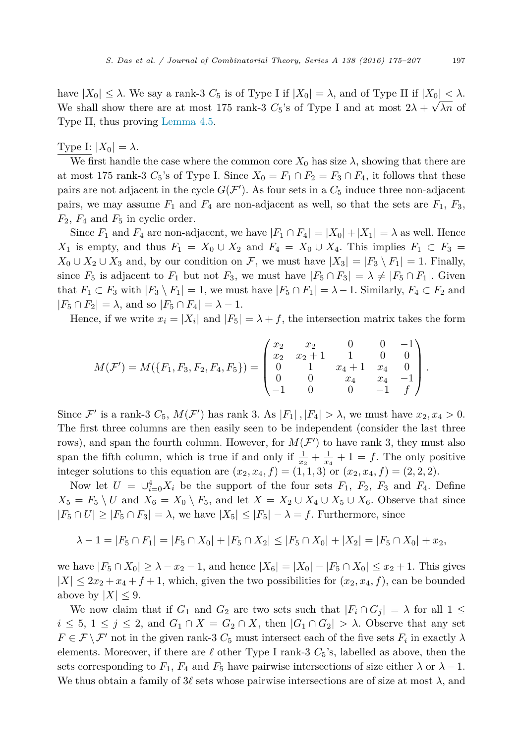have  $|X_0| \leq \lambda$ . We say a rank-3  $C_5$  is of Type I if  $|X_0| = \lambda$ , and of Type II if  $|X_0| < \lambda$ . We shall show there are at most 175 rank-3  $C_5$ 's of Type I and at most  $2\lambda + \sqrt{\lambda n}$  of Type II, thus proving [Lemma 4.5.](#page-21-0)

Type I:  $|X_0| = \lambda$ .

We first handle the case where the common core  $X_0$  has size  $\lambda$ , showing that there are at most 175 rank-3  $C_5$ 's of Type I. Since  $X_0 = F_1 \cap F_2 = F_3 \cap F_4$ , it follows that these pairs are not adjacent in the cycle  $G(\mathcal{F}')$ . As four sets in a  $C_5$  induce three non-adjacent pairs, we may assume  $F_1$  and  $F_4$  are non-adjacent as well, so that the sets are  $F_1$ ,  $F_3$ ,  $F_2$ ,  $F_4$  and  $F_5$  in cyclic order.

Since  $F_1$  and  $F_4$  are non-adjacent, we have  $|F_1 \cap F_4| = |X_0| + |X_1| = \lambda$  as well. Hence *X*<sub>1</sub> is empty, and thus  $F_1 = X_0 \cup X_2$  and  $F_4 = X_0 \cup X_4$ . This implies  $F_1 \subset F_3$ *X*<sub>0</sub> ∪ *X*<sub>2</sub> ∪ *X*<sub>3</sub> and, by our condition on *F*, we must have  $|X_3| = |F_3 \setminus F_1| = 1$ . Finally, since  $F_5$  is adjacent to  $F_1$  but not  $F_3$ , we must have  $|F_5 \cap F_3| = \lambda \neq |F_5 \cap F_1|$ . Given that  $F_1 \subset F_3$  with  $|F_3 \setminus F_1| = 1$ , we must have  $|F_5 \cap F_1| = \lambda - 1$ . Similarly,  $F_4 \subset F_2$  and  $|F_5 \cap F_2| = \lambda$ , and so  $|F_5 \cap F_4| = \lambda - 1$ .

Hence, if we write  $x_i = |X_i|$  and  $|F_5| = \lambda + f$ , the intersection matrix takes the form

$$
M(\mathcal{F}') = M(\lbrace F_1, F_3, F_2, F_4, F_5 \rbrace) = \begin{pmatrix} x_2 & x_2 & 0 & 0 & -1 \\ x_2 & x_2 + 1 & 1 & 0 & 0 \\ 0 & 1 & x_4 + 1 & x_4 & 0 \\ 0 & 0 & x_4 & x_4 & -1 \\ -1 & 0 & 0 & -1 & f \end{pmatrix}.
$$

Since  $\mathcal{F}'$  is a rank-3  $C_5$ ,  $M(\mathcal{F}')$  has rank 3. As  $|F_1|$ ,  $|F_4| > \lambda$ , we must have  $x_2, x_4 > 0$ . The first three columns are then easily seen to be independent (consider the last three rows), and span the fourth column. However, for  $M(\mathcal{F}')$  to have rank 3, they must also span the fifth column, which is true if and only if  $\frac{1}{x_2} + \frac{1}{x_4} + 1 = f$ . The only positive integer solutions to this equation are  $(x_2, x_4, f) = (1, 1, 3)$  or  $(x_2, x_4, f) = (2, 2, 2)$ .

Now let  $U = \bigcup_{i=0}^{4} X_i$  be the support of the four sets  $F_1$ ,  $F_2$ ,  $F_3$  and  $F_4$ . Define  $X_5 = F_5 \setminus U$  and  $X_6 = X_0 \setminus F_5$ , and let  $X = X_2 \cup X_4 \cup X_5 \cup X_6$ . Observe that since  $|F_5 \cap U| \geq |F_5 \cap F_3| = \lambda$ , we have  $|X_5| \leq |F_5| - \lambda = f$ . Furthermore, since

$$
\lambda - 1 = |F_5 \cap F_1| = |F_5 \cap X_0| + |F_5 \cap X_2| \le |F_5 \cap X_0| + |X_2| = |F_5 \cap X_0| + x_2,
$$

we have  $|F_5 \cap X_0|$  ≥ *λ* − *x*<sub>2</sub> − 1, and hence  $|X_6| = |X_0| - |F_5 \cap X_0|$  ≤ *x*<sub>2</sub> + 1. This gives  $|X| \leq 2x_2 + x_4 + f + 1$ , which, given the two possibilities for  $(x_2, x_4, f)$ , can be bounded above by  $|X| \leq 9$ .

We now claim that if  $G_1$  and  $G_2$  are two sets such that  $|F_i \cap G_j| = \lambda$  for all  $1 \leq$  $i \leq 5$ ,  $1 \leq j \leq 2$ , and  $G_1 \cap X = G_2 \cap X$ , then  $|G_1 \cap G_2| > \lambda$ . Observe that any set  $F \in \mathcal{F} \setminus \mathcal{F}'$  not in the given rank-3  $C_5$  must intersect each of the five sets  $F_i$  in exactly  $\lambda$ elements. Moreover, if there are  $\ell$  other Type I rank-3  $C_5$ 's, labelled as above, then the sets corresponding to  $F_1$ ,  $F_4$  and  $F_5$  have pairwise intersections of size either  $\lambda$  or  $\lambda - 1$ . We thus obtain a family of  $3\ell$  sets whose pairwise intersections are of size at most  $\lambda$ , and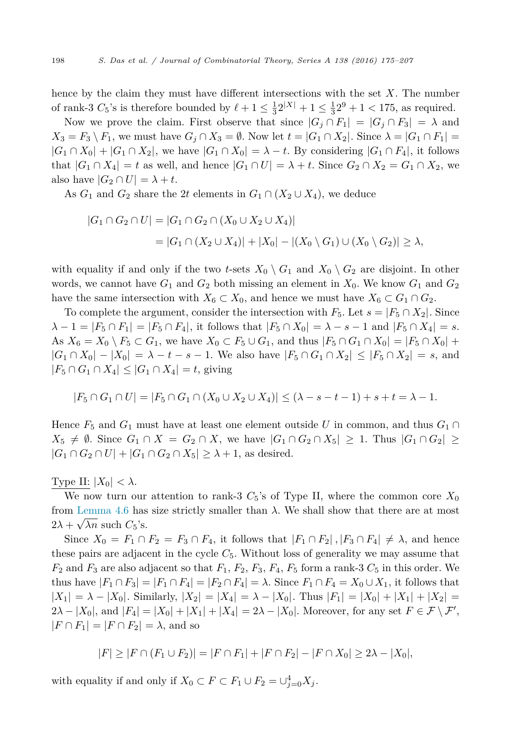hence by the claim they must have different intersections with the set *X*. The number of rank-3  $C_5$ 's is therefore bounded by  $\ell + 1 \le \frac{1}{3} 2^{|X|} + 1 \le \frac{1}{3} 2^9 + 1 < 175$ , as required.

Now we prove the claim. First observe that since  $|G_j \cap F_1| = |G_j \cap F_3| = \lambda$  and  $X_3 = F_3 \setminus F_1$ , we must have  $G_j \cap X_3 = \emptyset$ . Now let  $t = |G_1 \cap X_2|$ . Since  $\lambda = |G_1 \cap F_1| =$  $|G_1 \cap X_0| + |G_1 \cap X_2|$ , we have  $|G_1 \cap X_0| = \lambda - t$ . By considering  $|G_1 \cap F_4|$ , it follows that  $|G_1 \cap X_4| = t$  as well, and hence  $|G_1 \cap U| = \lambda + t$ . Since  $G_2 \cap X_2 = G_1 \cap X_2$ , we also have  $|G_2 \cap U| = \lambda + t$ .

As  $G_1$  and  $G_2$  share the 2t elements in  $G_1 \cap (X_2 \cup X_4)$ , we deduce

$$
|G_1 \cap G_2 \cap U| = |G_1 \cap G_2 \cap (X_0 \cup X_2 \cup X_4)|
$$
  
= |G\_1 \cap (X\_2 \cup X\_4)| + |X\_0| - |(X\_0 \setminus G\_1) \cup (X\_0 \setminus G\_2)| \ge \lambda,

with equality if and only if the two *t*-sets  $X_0 \setminus G_1$  and  $X_0 \setminus G_2$  are disjoint. In other words, we cannot have  $G_1$  and  $G_2$  both missing an element in  $X_0$ . We know  $G_1$  and  $G_2$ have the same intersection with  $X_6 \subset X_0$ , and hence we must have  $X_6 \subset G_1 \cap G_2$ .

To complete the argument, consider the intersection with  $F_5$ . Let  $s = |F_5 \cap X_2|$ . Since  $\lambda - 1 = |F_5 \cap F_1| = |F_5 \cap F_4|$ , it follows that  $|F_5 \cap X_0| = \lambda - s - 1$  and  $|F_5 \cap X_4| = s$ . As  $X_6 = X_0 \setminus F_5 \subset G_1$ , we have  $X_0 \subset F_5 \cup G_1$ , and thus  $|F_5 \cap G_1 \cap X_0| = |F_5 \cap X_0| +$  $|G_1 \cap X_0| - |X_0| = \lambda - t - s - 1$ . We also have  $|F_5 \cap G_1 \cap X_2| \leq |F_5 \cap X_2| = s$ , and |*F*<sup>5</sup> ∩ *G*<sup>1</sup> ∩ *X*4|≤|*G*<sup>1</sup> ∩ *X*4| = *t*, giving

$$
|F_5 \cap G_1 \cap U| = |F_5 \cap G_1 \cap (X_0 \cup X_2 \cup X_4)| \le (\lambda - s - t - 1) + s + t = \lambda - 1.
$$

Hence  $F_5$  and  $G_1$  must have at least one element outside U in common, and thus  $G_1 \cap$ *X*<sub>5</sub> ≠  $\emptyset$ . Since  $G_1 \cap X = G_2 \cap X$ , we have  $|G_1 \cap G_2 \cap X_5| \geq 1$ . Thus  $|G_1 \cap G_2| \geq 1$  $|G_1 \cap G_2 \cap U| + |G_1 \cap G_2 \cap X_5| \geq \lambda + 1$ , as desired.

# Type II:  $|X_0| < \lambda$ .

We now turn our attention to rank-3  $C_5$ 's of Type II, where the common core  $X_0$ from [Lemma 4.6](#page-21-0) has size strictly smaller than  $\lambda$ . We shall show that there are at most  $2\lambda + \sqrt{\lambda n}$  such  $C_5$ 's.

Since  $X_0 = F_1 \cap F_2 = F_3 \cap F_4$ , it follows that  $|F_1 \cap F_2|$ ,  $|F_3 \cap F_4| \neq \lambda$ , and hence these pairs are adjacent in the cycle  $C_5$ . Without loss of generality we may assume that  $F_2$  and  $F_3$  are also adjacent so that  $F_1$ ,  $F_2$ ,  $F_3$ ,  $F_4$ ,  $F_5$  form a rank-3  $C_5$  in this order. We thus have  $|F_1 \cap F_3| = |F_1 \cap F_4| = |F_2 \cap F_4| = \lambda$ . Since  $F_1 \cap F_4 = X_0 \cup X_1$ , it follows that  $|X_1| = \lambda - |X_0|$ . Similarly,  $|X_2| = |X_4| = \lambda - |X_0|$ . Thus  $|F_1| = |X_0| + |X_1| + |X_2|$  $2\lambda - |X_0|$ , and  $|F_4| = |X_0| + |X_1| + |X_4| = 2\lambda - |X_0|$ . Moreover, for any set  $F \in \mathcal{F} \setminus \mathcal{F}'$ ,  $|F \cap F_1| = |F \cap F_2| = \lambda$ , and so

$$
|F| \geq |F \cap (F_1 \cup F_2)| = |F \cap F_1| + |F \cap F_2| - |F \cap X_0| \geq 2\lambda - |X_0|,
$$

with equality if and only if  $X_0 \subset F \subset F_1 \cup F_2 = \cup_{j=0}^4 X_j$ .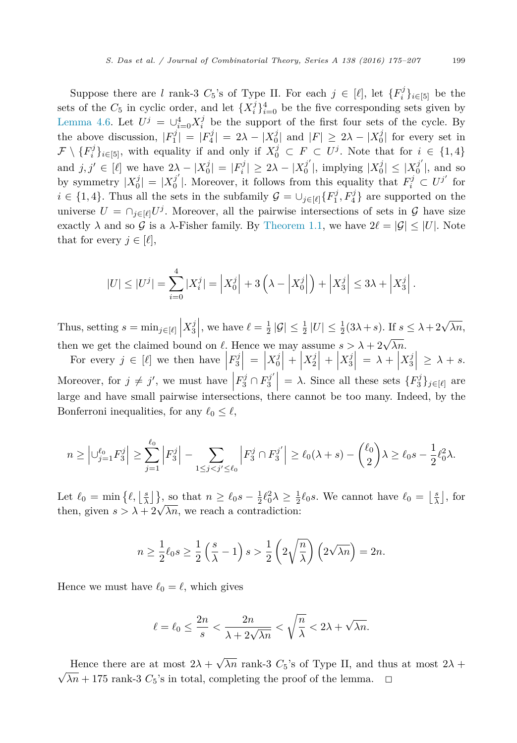Suppose there are *l* rank-3  $C_5$ 's of Type II. For each  $j \in [\ell]$ , let  $\{F_i^j\}_{i \in [5]}$  be the sets of the  $C_5$  in cyclic order, and let  $\{X_i^j\}_{i=0}^4$  be the five corresponding sets given by [Lemma 4.6.](#page-21-0) Let  $U^j = \bigcup_{i=0}^4 X_i^j$  be the support of the first four sets of the cycle. By the above discussion,  $|F_1^j| = |F_4^j| = 2\lambda - |X_0^j|$  and  $|F| \ge 2\lambda - |X_0^j|$  for every set in  $\mathcal{F}\setminus \{F_i^j\}_{i\in[5]}$ , with equality if and only if  $X_0^j \subset F \subset U^j$ . Note that for  $i \in \{1,4\}$ and  $j, j' \in [\ell]$  we have  $2\lambda - |X_0^j| = |F_i^j| \ge 2\lambda - |X_0^{j'}|$ , implying  $|X_0^j| \le |X_0^{j'}|$ , and so by symmetry  $|X_0^j| = |X_0^{j'}|$ . Moreover, it follows from this equality that  $F_i^j \subset U^{j'}$  for  $i \in \{1, 4\}$ . Thus all the sets in the subfamily  $\mathcal{G} = \cup_{j \in [\ell]} \{F_1^j, F_4^j\}$  are supported on the universe  $U = \bigcap_{j \in [\ell]} U^j$ . Moreover, all the pairwise intersections of sets in  $\mathcal G$  have size exactly  $\lambda$  and so G is a  $\lambda$ -Fisher family. By [Theorem 1.1,](#page-1-0) we have  $2\ell = |\mathcal{G}| \leq |U|$ . Note that for every  $j \in [\ell],$ 

$$
|U| \leq |U^j| = \sum_{i=0}^4 |X_i^j| = \left| X_0^j \right| + 3\left( \lambda - \left| X_0^j \right| \right) + \left| X_3^j \right| \leq 3\lambda + \left| X_3^j \right|.
$$

Thus, setting  $s = \min_{j \in [\ell]} \left| X_3^j \right|$ , we have  $\ell = \frac{1}{2} |\mathcal{G}| \leq \frac{1}{2} |U| \leq \frac{1}{2} (3\lambda + s)$ . If  $s \leq \lambda + 2\sqrt{\lambda n}$ , then we get the claimed bound on  $\ell$ . Hence we may assume  $s > \lambda + 2\sqrt{\lambda n}$ .

For every  $j \in [\ell]$  we then have  $\left| F_3^j \right| = \Big|$  $\left| \begin{array}{c} X_0^j \end{array} \right| + \left| \begin{array}{c} 0 \end{array} \right|$  $X_2^j$  +  $\Big|$  $X_3^j\Big| = \lambda + \Big|$  $X_3^j\Big| \geq \lambda + s.$ Moreover, for  $j \neq j'$ , we must have  $\left| F_3^j \cap F_3^{j'} \right| = \lambda$ . Since all these sets  $\{F_3^j\}_{j \in [\ell]}$  are  $\begin{bmatrix} 3 & 3 \\ 3 & 6 \end{bmatrix}$  arge and have small pairwise intersections, there cannot be too many. Indeed, by the Bonferroni inequalities, for any  $\ell_0 \leq \ell$ ,

$$
n \ge \left| \bigcup_{j=1}^{\ell_0} F_3^j \right| \ge \sum_{j=1}^{\ell_0} \left| F_3^j \right| - \sum_{1 \le j < j' \le \ell_0} \left| F_3^j \cap F_3^{j'} \right| \ge \ell_0(\lambda + s) - \binom{\ell_0}{2} \lambda \ge \ell_0 s - \frac{1}{2} \ell_0^2 \lambda.
$$

Let  $\ell_0 = \min\{\ell, \left\lfloor \frac{s}{\lambda} \right\rfloor\},\$  so that  $n \geq \ell_0 s - \frac{1}{2}\ell_0^2 \lambda \geq \frac{1}{2}\ell_0 s$ . We cannot have  $\ell_0 = \left\lfloor \frac{s}{\lambda} \right\rfloor$ , for then, given  $s > \lambda + 2\sqrt{\lambda n}$ , we reach a contradiction:

$$
n \ge \frac{1}{2}\ell_0 s \ge \frac{1}{2}\left(\frac{s}{\lambda} - 1\right)s > \frac{1}{2}\left(2\sqrt{\frac{n}{\lambda}}\right)\left(2\sqrt{\lambda n}\right) = 2n.
$$

Hence we must have  $\ell_0 = \ell$ , which gives

$$
\ell = \ell_0 \le \frac{2n}{s} < \frac{2n}{\lambda + 2\sqrt{\lambda n}} < \sqrt{\frac{n}{\lambda}} < 2\lambda + \sqrt{\lambda n}.
$$

Hence there are at most  $2\lambda + \sqrt{\lambda n}$  rank-3  $C_5$ 's of Type II, and thus at most  $2\lambda$  +  $\sqrt{\lambda n}$  + 175 rank-3 *C*<sub>5</sub>'s in total, completing the proof of the lemma.  $\Box$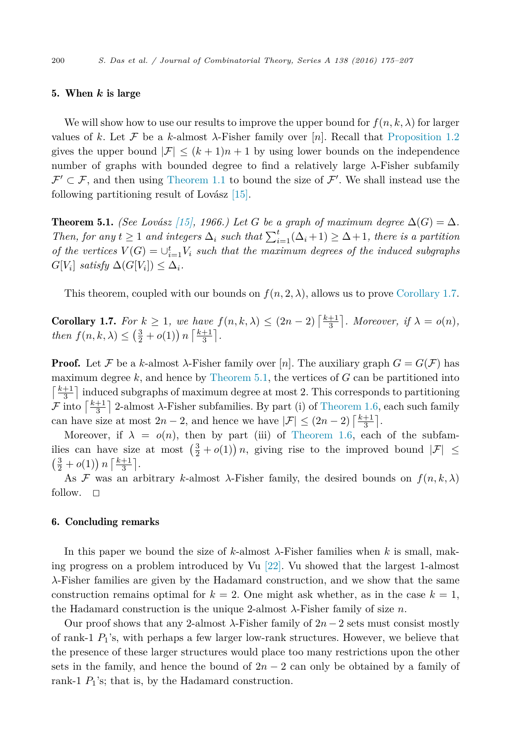# <span id="page-25-0"></span>5. When *k* is large

We will show how to use our results to improve the upper bound for  $f(n, k, \lambda)$  for larger values of k. Let F be a k-almost  $\lambda$ -Fisher family over [n]. Recall that [Proposition 1.2](#page-3-0) gives the upper bound  $|\mathcal{F}| \leq (k+1)n+1$  by using lower bounds on the independence number of graphs with bounded degree to find a relatively large *λ*-Fisher subfamily  $\mathcal{F}' \subset \mathcal{F}$ , and then using [Theorem 1.1](#page-1-0) to bound the size of  $\mathcal{F}'$ . We shall instead use the following partitioning result of Lovász [\[15\].](#page-32-0)

**Theorem 5.1.** *(See Lovász* [\[15\],](#page-32-0) **1966.**) Let G be a graph of maximum degree  $\Delta(G) = \Delta$ . *Then, for any*  $t \geq 1$  *and integers*  $\Delta_i$  *such that*  $\sum_{i=1}^{t} (\Delta_i + 1) \geq \Delta + 1$ *, there is a partition of the vertices*  $V(G) = \bigcup_{i=1}^{t} V_i$  *such that the maximum degrees of the induced subgraphs*  $G[V_i]$  *satisfy*  $\Delta(G[V_i]) \leq \Delta_i$ .

This theorem, coupled with our bounds on  $f(n, 2, \lambda)$ , allows us to prove [Corollary 1.7.](#page-4-0)

**Corollary 1.7.** For  $k \geq 1$ , we have  $f(n, k, \lambda) \leq (2n - 2) \left\lceil \frac{k+1}{3} \right\rceil$ . Moreover, if  $\lambda = o(n)$ , *then*  $f(n, k, \lambda) \leq (\frac{3}{2} + o(1)) n \left\lceil \frac{k+1}{3} \right\rceil$ .

**Proof.** Let F be a k-almost  $\lambda$ -Fisher family over [n]. The auxiliary graph  $G = G(\mathcal{F})$  has maximum degree  $k$ , and hence by Theorem 5.1, the vertices of  $G$  can be partitioned into  $\lceil \frac{k+1}{3} \rceil$  induced subgraphs of maximum degree at most 2. This corresponds to partitioning  $\mathcal F$  into  $\left\lceil \frac{k+1}{3} \right\rceil$  2-almost  $\lambda$ -Fisher subfamilies. By part (i) of [Theorem 1.6,](#page-4-0) each such family can have size at most  $2n - 2$ , and hence we have  $|\mathcal{F}| \leq (2n - 2) \left\lceil \frac{k+1}{3} \right\rceil$ .

Moreover, if  $\lambda = o(n)$ , then by part (iii) of [Theorem 1.6,](#page-4-0) each of the subfamilies can have size at most  $\left(\frac{3}{2} + o(1)\right)n$ , giving rise to the improved bound  $|\mathcal{F}| \le$  $\left(\frac{3}{2}+o(1)\right)n\left[\frac{k+1}{3}\right].$ 

As F was an arbitrary *k*-almost  $\lambda$ -Fisher family, the desired bounds on  $f(n, k, \lambda)$ follow.  $\square$ 

# 6. Concluding remarks

In this paper we bound the size of *k*-almost *λ*-Fisher families when *k* is small, making progress on a problem introduced by Vu [\[22\].](#page-32-0) Vu showed that the largest 1-almost *λ*-Fisher families are given by the Hadamard construction, and we show that the same construction remains optimal for  $k = 2$ . One might ask whether, as in the case  $k = 1$ , the Hadamard construction is the unique 2-almost *λ*-Fisher family of size *n*.

Our proof shows that any 2-almost  $\lambda$ -Fisher family of  $2n - 2$  sets must consist mostly of rank-1 *P*1's, with perhaps a few larger low-rank structures. However, we believe that the presence of these larger structures would place too many restrictions upon the other sets in the family, and hence the bound of  $2n - 2$  can only be obtained by a family of rank-1  $P_1$ 's; that is, by the Hadamard construction.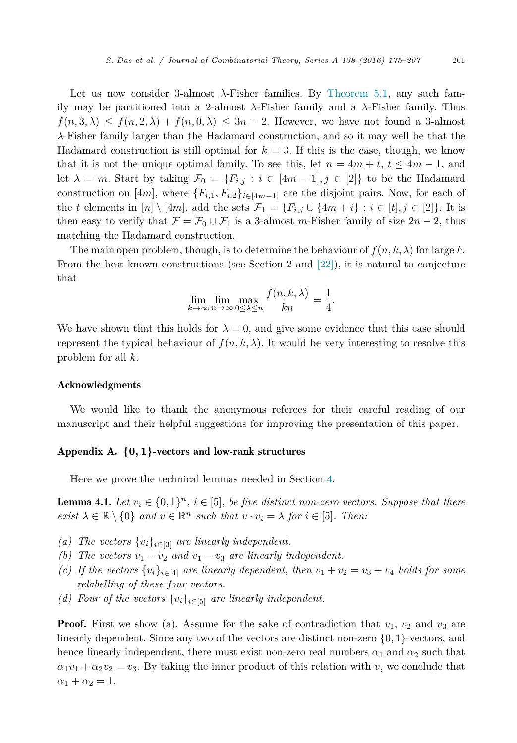<span id="page-26-0"></span>Let us now consider 3-almost *λ*-Fisher families. By [Theorem 5.1,](#page-25-0) any such family may be partitioned into a 2-almost *λ*-Fisher family and a *λ*-Fisher family. Thus  $f(n,3,\lambda) \leq f(n,2,\lambda) + f(n,0,\lambda) \leq 3n-2$ . However, we have not found a 3-almost *λ*-Fisher family larger than the Hadamard construction, and so it may well be that the Hadamard construction is still optimal for  $k = 3$ . If this is the case, though, we know that it is not the unique optimal family. To see this, let  $n = 4m + t$ ,  $t \le 4m - 1$ , and let  $\lambda = m$ . Start by taking  $\mathcal{F}_0 = \{F_{i,j} : i \in [4m-1], j \in [2]\}$  to be the Hadamard construction on [4*m*], where  $\{F_{i,1}, F_{i,2}\}_{i\in [4m-1]}$  are the disjoint pairs. Now, for each of the *t* elements in  $[n] \setminus [4m]$ , add the sets  $\mathcal{F}_1 = \{F_{i,j} \cup \{4m+i\} : i \in [t], j \in [2]\}$ . It is then easy to verify that  $\mathcal{F} = \mathcal{F}_0 \cup \mathcal{F}_1$  is a 3-almost *m*-Fisher family of size  $2n - 2$ , thus matching the Hadamard construction.

The main open problem, though, is to determine the behaviour of  $f(n, k, \lambda)$  for large k. From the best known constructions (see Section 2 and  $[22]$ ), it is natural to conjecture that

$$
\lim_{k \to \infty} \lim_{n \to \infty} \max_{0 \le \lambda \le n} \frac{f(n, k, \lambda)}{kn} = \frac{1}{4}.
$$

We have shown that this holds for  $\lambda = 0$ , and give some evidence that this case should represent the typical behaviour of  $f(n, k, \lambda)$ . It would be very interesting to resolve this problem for all *k*.

### Acknowledgments

We would like to thank the anonymous referees for their careful reading of our manuscript and their helpful suggestions for improving the presentation of this paper.

# Appendix A. **{0***,* **1}**-vectors and low-rank structures

Here we prove the technical lemmas needed in Section [4.](#page-15-0)

**Lemma 4.1.** Let  $v_i \in \{0,1\}^n$ ,  $i \in [5]$ , be five distinct non-zero vectors. Suppose that there  $\exists$  *exist*  $\lambda \in \mathbb{R} \setminus \{0\}$  *and*  $v \in \mathbb{R}^n$  *such that*  $v \cdot v_i = \lambda$  *for*  $i \in [5]$ *. Then:* 

- *(a)* The vectors  $\{v_i\}_{i \in [3]}$  *are linearly independent.*
- *(b)* The vectors  $v_1 v_2$  and  $v_1 v_3$  are linearly independent.
- *(c)* If the vectors  $\{v_i\}_{i\in [4]}$  are linearly dependent, then  $v_1 + v_2 = v_3 + v_4$  holds for some *relabelling of these four vectors.*
- *(d)* Four of the vectors  $\{v_i\}_{i \in [5]}$  are linearly independent.

**Proof.** First we show (a). Assume for the sake of contradiction that  $v_1$ ,  $v_2$  and  $v_3$  are linearly dependent. Since any two of the vectors are distinct non-zero {0*,* 1}-vectors, and hence linearly independent, there must exist non-zero real numbers  $\alpha_1$  and  $\alpha_2$  such that  $\alpha_1 v_1 + \alpha_2 v_2 = v_3$ . By taking the inner product of this relation with *v*, we conclude that  $\alpha_1 + \alpha_2 = 1.$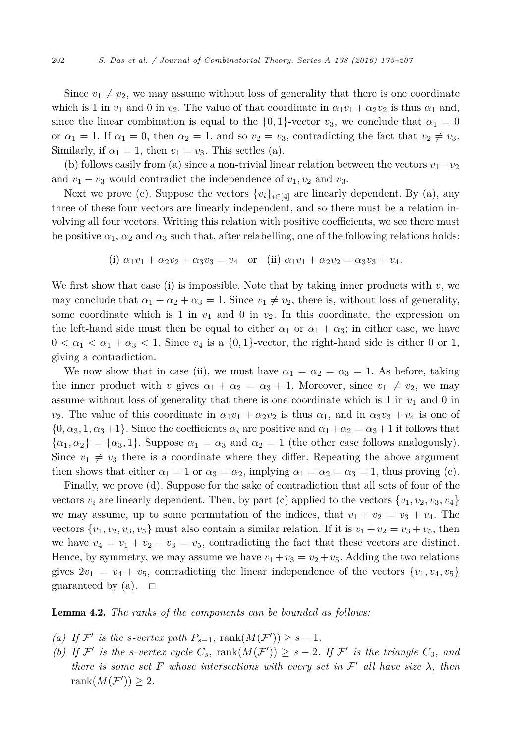Since  $v_1 \neq v_2$ , we may assume without loss of generality that there is one coordinate which is 1 in  $v_1$  and 0 in  $v_2$ . The value of that coordinate in  $\alpha_1 v_1 + \alpha_2 v_2$  is thus  $\alpha_1$  and, since the linear combination is equal to the  $\{0,1\}$ -vector  $v_3$ , we conclude that  $\alpha_1 = 0$ or  $\alpha_1 = 1$ . If  $\alpha_1 = 0$ , then  $\alpha_2 = 1$ , and so  $v_2 = v_3$ , contradicting the fact that  $v_2 \neq v_3$ . Similarly, if  $\alpha_1 = 1$ , then  $v_1 = v_3$ . This settles (a).

(b) follows easily from (a) since a non-trivial linear relation between the vectors  $v_1 - v_2$ and  $v_1 - v_3$  would contradict the independence of  $v_1, v_2$  and  $v_3$ .

Next we prove (c). Suppose the vectors  ${v_i}_{i \in [4]}$  are linearly dependent. By (a), any three of these four vectors are linearly independent, and so there must be a relation involving all four vectors. Writing this relation with positive coefficients, we see there must be positive  $\alpha_1$ ,  $\alpha_2$  and  $\alpha_3$  such that, after relabelling, one of the following relations holds:

(i) 
$$
\alpha_1 v_1 + \alpha_2 v_2 + \alpha_3 v_3 = v_4
$$
 or (ii)  $\alpha_1 v_1 + \alpha_2 v_2 = \alpha_3 v_3 + v_4$ .

We first show that case (i) is impossible. Note that by taking inner products with *v*, we may conclude that  $\alpha_1 + \alpha_2 + \alpha_3 = 1$ . Since  $v_1 \neq v_2$ , there is, without loss of generality, some coordinate which is 1 in  $v_1$  and 0 in  $v_2$ . In this coordinate, the expression on the left-hand side must then be equal to either  $\alpha_1$  or  $\alpha_1 + \alpha_3$ ; in either case, we have  $0 < \alpha_1 < \alpha_1 + \alpha_3 < 1$ . Since  $v_4$  is a  $\{0,1\}$ -vector, the right-hand side is either 0 or 1, giving a contradiction.

We now show that in case (ii), we must have  $\alpha_1 = \alpha_2 = \alpha_3 = 1$ . As before, taking the inner product with *v* gives  $\alpha_1 + \alpha_2 = \alpha_3 + 1$ . Moreover, since  $v_1 \neq v_2$ , we may assume without loss of generality that there is one coordinate which is  $1$  in  $v_1$  and  $0$  in *v*<sub>2</sub>. The value of this coordinate in  $\alpha_1 v_1 + \alpha_2 v_2$  is thus  $\alpha_1$ , and in  $\alpha_3 v_3 + v_4$  is one of  $\{0, \alpha_3, 1, \alpha_3+1\}$ . Since the coefficients  $\alpha_i$  are positive and  $\alpha_1 + \alpha_2 = \alpha_3 + 1$  it follows that  $\{\alpha_1, \alpha_2\} = \{\alpha_3, 1\}$ . Suppose  $\alpha_1 = \alpha_3$  and  $\alpha_2 = 1$  (the other case follows analogously). Since  $v_1 \neq v_3$  there is a coordinate where they differ. Repeating the above argument then shows that either  $\alpha_1 = 1$  or  $\alpha_3 = \alpha_2$ , implying  $\alpha_1 = \alpha_2 = \alpha_3 = 1$ , thus proving (c).

Finally, we prove (d). Suppose for the sake of contradiction that all sets of four of the vectors  $v_i$  are linearly dependent. Then, by part (c) applied to the vectors  $\{v_1, v_2, v_3, v_4\}$ we may assume, up to some permutation of the indices, that  $v_1 + v_2 = v_3 + v_4$ . The vectors  $\{v_1, v_2, v_3, v_5\}$  must also contain a similar relation. If it is  $v_1 + v_2 = v_3 + v_5$ , then we have  $v_4 = v_1 + v_2 - v_3 = v_5$ , contradicting the fact that these vectors are distinct. Hence, by symmetry, we may assume we have  $v_1 + v_3 = v_2 + v_5$ . Adding the two relations gives  $2v_1 = v_4 + v_5$ , contradicting the linear independence of the vectors  $\{v_1, v_4, v_5\}$ guaranteed by (a).  $\Box$ 

Lemma 4.2. *The ranks of the components can be bounded as follows:*

- (a) If  $\mathcal{F}'$  is the *s*-vertex path  $P_{s-1}$ , rank $(M(\mathcal{F}')) \geq s-1$ .
- (b) If  $\mathcal{F}'$  is the *s*-vertex cycle  $C_s$ ,  $\text{rank}(M(\mathcal{F}')) \geq s 2$ . If  $\mathcal{F}'$  is the triangle  $C_3$ , and *there is some set F whose intersections with every set in*  $\mathcal{F}'$  *all have size*  $\lambda$ *, then* rank $(M(\mathcal{F}')) \geq 2$ .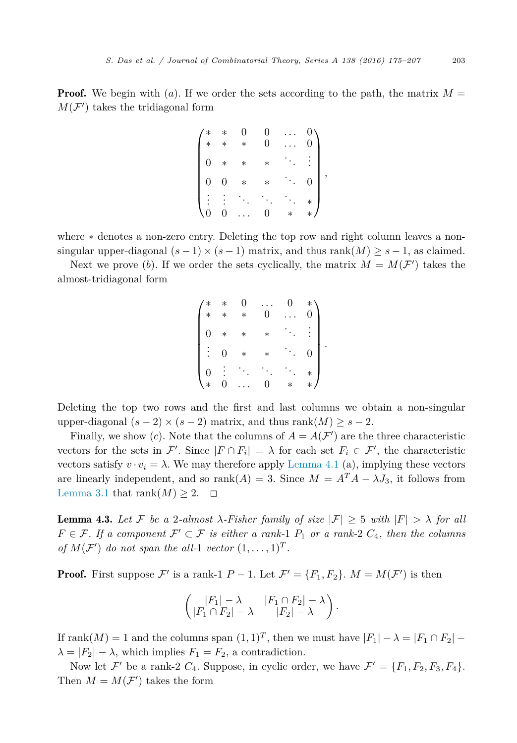**Proof.** We begin with (*a*). If we order the sets according to the path, the matrix  $M =$  $M(\mathcal{F}')$  takes the tridiagonal form

|                  |        |        | 0      |   |   |
|------------------|--------|--------|--------|---|---|
| $\ast$           |        |        | 0      | 0 |   |
| $\boldsymbol{0}$ | $\ast$ | $\ast$ | $\ast$ |   |   |
|                  |        | $\ast$ | $\ast$ | 0 | , |
|                  |        |        |        |   |   |
|                  |        |        |        |   |   |

where ∗ denotes a non-zero entry. Deleting the top row and right column leaves a nonsingular upper-diagonal  $(s-1) \times (s-1)$  matrix, and thus rank $(M) \geq s-1$ , as claimed.

Next we prove (b). If we order the sets cyclically, the matrix  $M = M(\mathcal{F}')$  takes the almost-tridiagonal form

|                |                | $\Omega$ |        |   |
|----------------|----------------|----------|--------|---|
| $\ast$         | $\ast$         | $\ast$   | 0      | 0 |
| $\overline{0}$ | $\ast$         | $\ast$   | $\ast$ |   |
|                | $\overline{0}$ | $\ast$   | $\ast$ |   |
| 0<br>∗         | 0              |          | 0      | ች |
|                |                |          |        |   |

*.*

Deleting the top two rows and the first and last columns we obtain a non-singular upper-diagonal  $(s-2) \times (s-2)$  matrix, and thus rank $(M) \geq s-2$ .

Finally, we show (*c*). Note that the columns of  $A = A(\mathcal{F}')$  are the three characteristic vectors for the sets in  $\mathcal{F}'$ . Since  $|F \cap F_i| = \lambda$  for each set  $F_i \in \mathcal{F}'$ , the characteristic vectors satisfy  $v \cdot v_i = \lambda$ . We may therefore apply [Lemma 4.1](#page-16-0) (a), implying these vectors are linearly independent, and so rank $(A) = 3$ . Since  $M = A^T A - \lambda J_3$ , it follows from [Lemma 3.1](#page-9-0) that rank $(M) \geq 2$ .  $\Box$ 

**Lemma 4.3.** Let F be a 2-almost  $\lambda$ -Fisher family of size  $|\mathcal{F}| \geq 5$  with  $|F| > \lambda$  for all  $F \in \mathcal{F}$ . If a component  $\mathcal{F}' \subset \mathcal{F}$  is either a rank-1  $P_1$  or a rank-2  $C_4$ , then the columns *of*  $M(F')$  *do not span the all*-1 *vector*  $(1, \ldots, 1)^T$ *.* 

**Proof.** First suppose  $\mathcal{F}'$  is a rank-1  $P-1$ . Let  $\mathcal{F}' = \{F_1, F_2\}$ .  $M = M(\mathcal{F}')$  is then

$$
\left(\begin{array}{cc} |F_1| - \lambda & |F_1 \cap F_2| - \lambda \\ |F_1 \cap F_2| - \lambda & |F_2| - \lambda \end{array}\right).
$$

If rank $(M) = 1$  and the columns span  $(1, 1)^T$ , then we must have  $|F_1| - \lambda = |F_1 \cap F_2|$  $\lambda = |F_2| - \lambda$ , which implies  $F_1 = F_2$ , a contradiction.

Now let  $\mathcal{F}'$  be a rank-2  $C_4$ . Suppose, in cyclic order, we have  $\mathcal{F}' = \{F_1, F_2, F_3, F_4\}.$ Then  $M = M(\mathcal{F}')$  takes the form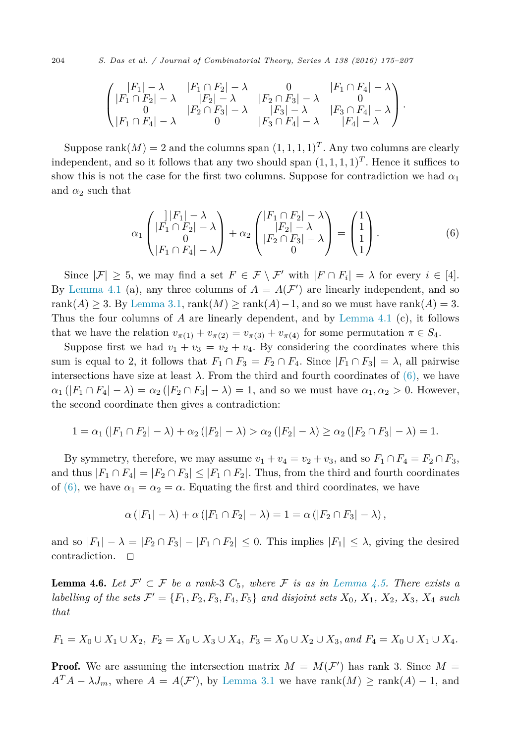204 *S. Das et al. / Journal of Combinatorial Theory, Series A 138 (2016) 175–207*

$$
\begin{pmatrix}\n|F_1| - \lambda & |F_1 \cap F_2| - \lambda & 0 & |F_1 \cap F_4| - \lambda \\
|F_1 \cap F_2| - \lambda & |F_2| - \lambda & |F_2 \cap F_3| - \lambda & 0 \\
0 & |F_2 \cap F_3| - \lambda & |F_3| - \lambda & |F_3 \cap F_4| - \lambda \\
|F_1 \cap F_4| - \lambda & 0 & |F_3 \cap F_4| - \lambda & |F_4| - \lambda\n\end{pmatrix}.
$$

Suppose rank $(M) = 2$  and the columns span  $(1, 1, 1, 1)^T$ . Any two columns are clearly independent, and so it follows that any two should span  $(1, 1, 1, 1)^T$ . Hence it suffices to show this is not the case for the first two columns. Suppose for contradiction we had  $\alpha_1$ and  $\alpha_2$  such that

$$
\alpha_1 \begin{pmatrix} |F_1| - \lambda \\ |F_1 \cap F_2| - \lambda \\ 0 \\ |F_1 \cap F_4| - \lambda \end{pmatrix} + \alpha_2 \begin{pmatrix} |F_1 \cap F_2| - \lambda \\ |F_2| - \lambda \\ |F_2 \cap F_3| - \lambda \\ 0 \end{pmatrix} = \begin{pmatrix} 1 \\ 1 \\ 1 \\ 1 \end{pmatrix}.
$$
 (6)

Since  $|\mathcal{F}| \geq 5$ , we may find a set  $F \in \mathcal{F} \setminus \mathcal{F}'$  with  $|F \cap F_i| = \lambda$  for every  $i \in [4]$ . By [Lemma 4.1](#page-16-0) (a), any three columns of  $A = A(F')$  are linearly independent, and so rank(*A*) ≥ 3. By [Lemma 3.1,](#page-9-0) rank(*M*) ≥ rank(*A*) − 1, and so we must have rank(*A*) = 3. Thus the four columns of *A* are linearly dependent, and by [Lemma 4.1](#page-16-0) (c), it follows that we have the relation  $v_{\pi(1)} + v_{\pi(2)} = v_{\pi(3)} + v_{\pi(4)}$  for some permutation  $\pi \in S_4$ .

Suppose first we had  $v_1 + v_3 = v_2 + v_4$ . By considering the coordinates where this sum is equal to 2, it follows that  $F_1 \cap F_3 = F_2 \cap F_4$ . Since  $|F_1 \cap F_3| = \lambda$ , all pairwise intersections have size at least  $\lambda$ . From the third and fourth coordinates of  $(6)$ , we have  $\alpha_1(|F_1 \cap F_4| - \lambda) = \alpha_2(|F_2 \cap F_3| - \lambda) = 1$ , and so we must have  $\alpha_1, \alpha_2 > 0$ . However, the second coordinate then gives a contradiction:

$$
1 = \alpha_1 (|F_1 \cap F_2| - \lambda) + \alpha_2 (|F_2| - \lambda) > \alpha_2 (|F_2| - \lambda) \ge \alpha_2 (|F_2 \cap F_3| - \lambda) = 1.
$$

By symmetry, therefore, we may assume  $v_1 + v_4 = v_2 + v_3$ , and so  $F_1 \cap F_4 = F_2 \cap F_3$ , and thus  $|F_1 \cap F_4| = |F_2 \cap F_3| \leq |F_1 \cap F_2|$ . Thus, from the third and fourth coordinates of (6), we have  $\alpha_1 = \alpha_2 = \alpha$ . Equating the first and third coordinates, we have

$$
\alpha(|F_1|-\lambda)+\alpha(|F_1\cap F_2|-\lambda)=1=\alpha(|F_2\cap F_3|-\lambda),
$$

and so  $|F_1| - \lambda = |F_2 \cap F_3| - |F_1 \cap F_2| \leq 0$ . This implies  $|F_1| \leq \lambda$ , giving the desired contradiction.  $\square$ 

**Lemma 4.6.** Let  $\mathcal{F}' \subset \mathcal{F}$  be a rank-3  $C_5$ , where  $\mathcal{F}$  is as in [Lemma 4.5.](#page-21-0) There exists a labelling of the sets  $\mathcal{F}' = \{F_1, F_2, F_3, F_4, F_5\}$  and disjoint sets  $X_0, X_1, X_2, X_3, X_4$  such *that*

$$
F_1 = X_0 \cup X_1 \cup X_2, \ F_2 = X_0 \cup X_3 \cup X_4, \ F_3 = X_0 \cup X_2 \cup X_3, \ and \ F_4 = X_0 \cup X_1 \cup X_4.
$$

**Proof.** We are assuming the intersection matrix  $M = M(F')$  has rank 3. Since  $M =$  $A^T A - \lambda J_m$ , where  $A = A(\mathcal{F}')$ , by [Lemma 3.1](#page-9-0) we have rank $(M) \geq \text{rank}(A) - 1$ , and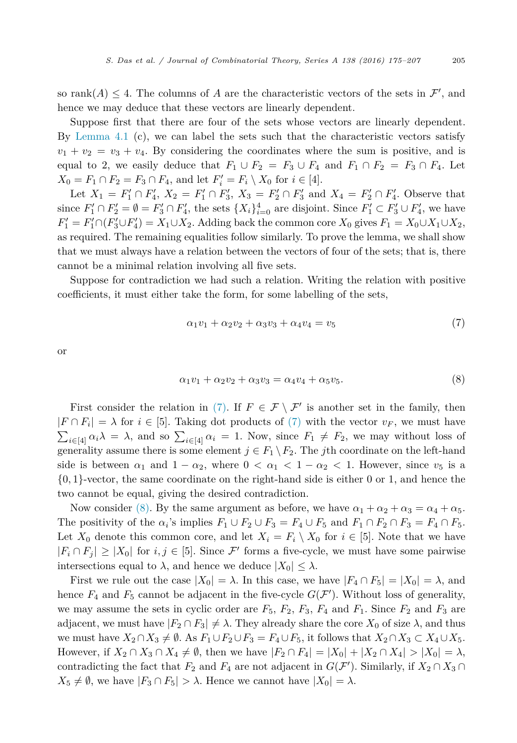<span id="page-30-0"></span>so rank $(A) \leq 4$ . The columns of A are the characteristic vectors of the sets in  $\mathcal{F}'$ , and hence we may deduce that these vectors are linearly dependent.

Suppose first that there are four of the sets whose vectors are linearly dependent. By [Lemma 4.1](#page-16-0)  $(c)$ , we can label the sets such that the characteristic vectors satisfy  $v_1 + v_2 = v_3 + v_4$ . By considering the coordinates where the sum is positive, and is equal to 2, we easily deduce that  $F_1 \cup F_2 = F_3 \cup F_4$  and  $F_1 \cap F_2 = F_3 \cap F_4$ . Let  $X_0 = F_1 \cap F_2 = F_3 \cap F_4$ , and let  $F'_i = F_i \setminus X_0$  for  $i \in [4]$ .

Let  $X_1 = F'_1 \cap F'_4$ ,  $X_2 = F'_1 \cap F'_3$ ,  $X_3 = F'_2 \cap F'_3$  and  $X_4 = F'_2 \cap F'_4$ . Observe that since  $F'_1 \cap F'_2 = \emptyset = F'_3 \cap F'_4$ , the sets  $\{X_i\}_{i=0}^4$  are disjoint. Since  $F'_1 \subset F'_3 \cup F'_4$ , we have  $F'_1 = F'_1 \cap (F'_3 \cup F'_4) = X_1 \cup X_2$ . Adding back the common core  $X_0$  gives  $F_1 = X_0 \cup X_1 \cup X_2$ , as required. The remaining equalities follow similarly. To prove the lemma, we shall show that we must always have a relation between the vectors of four of the sets; that is, there cannot be a minimal relation involving all five sets.

Suppose for contradiction we had such a relation. Writing the relation with positive coefficients, it must either take the form, for some labelling of the sets,

$$
\alpha_1 v_1 + \alpha_2 v_2 + \alpha_3 v_3 + \alpha_4 v_4 = v_5 \tag{7}
$$

or

$$
\alpha_1 v_1 + \alpha_2 v_2 + \alpha_3 v_3 = \alpha_4 v_4 + \alpha_5 v_5. \tag{8}
$$

First consider the relation in (7). If  $F \in \mathcal{F} \setminus \mathcal{F}'$  is another set in the family, then  $|F \cap F_i| = \lambda$  for  $i \in [5]$ . Taking dot products of (7) with the vector  $v_F$ , we must have  $\sum_{i\in[4]} \alpha_i \lambda = \lambda$ , and so  $\sum_{i\in[4]} \alpha_i = 1$ . Now, since  $F_1 \neq F_2$ , we may without loss of generality assume there is some element  $j \in F_1 \setminus F_2$ . The *j*th coordinate on the left-hand side is between  $\alpha_1$  and  $1 - \alpha_2$ , where  $0 < \alpha_1 < 1 - \alpha_2 < 1$ . However, since  $v_5$  is a {0*,* 1}-vector, the same coordinate on the right-hand side is either 0 or 1, and hence the two cannot be equal, giving the desired contradiction.

Now consider (8). By the same argument as before, we have  $\alpha_1 + \alpha_2 + \alpha_3 = \alpha_4 + \alpha_5$ . The positivity of the  $\alpha_i$ 's implies  $F_1 \cup F_2 \cup F_3 = F_4 \cup F_5$  and  $F_1 \cap F_2 \cap F_3 = F_4 \cap F_5$ . Let  $X_0$  denote this common core, and let  $X_i = F_i \setminus X_0$  for  $i \in [5]$ . Note that we have  $|F_i \cap F_j| \geq |X_0|$  for  $i, j \in [5]$ . Since  $\mathcal{F}'$  forms a five-cycle, we must have some pairwise intersections equal to  $\lambda$ , and hence we deduce  $|X_0| \leq \lambda$ .

First we rule out the case  $|X_0| = \lambda$ . In this case, we have  $|F_4 \cap F_5| = |X_0| = \lambda$ , and hence  $F_4$  and  $F_5$  cannot be adjacent in the five-cycle  $G(\mathcal{F}')$ . Without loss of generality, we may assume the sets in cyclic order are  $F_5$ ,  $F_2$ ,  $F_3$ ,  $F_4$  and  $F_1$ . Since  $F_2$  and  $F_3$  are adjacent, we must have  $|F_2 \cap F_3| \neq \lambda$ . They already share the core  $X_0$  of size  $\lambda$ , and thus we must have  $X_2 \cap X_3 \neq \emptyset$ . As  $F_1 \cup F_2 \cup F_3 = F_4 \cup F_5$ , it follows that  $X_2 \cap X_3 \subset X_4 \cup X_5$ . However, if  $X_2 \cap X_3 \cap X_4 \neq \emptyset$ , then we have  $|F_2 \cap F_4| = |X_0| + |X_2 \cap X_4| > |X_0| = \lambda$ , contradicting the fact that  $F_2$  and  $F_4$  are not adjacent in  $G(\mathcal{F}')$ . Similarly, if  $X_2 \cap X_3 \cap$  $X_5 \neq \emptyset$ , we have  $|F_3 \cap F_5| > \lambda$ . Hence we cannot have  $|X_0| = \lambda$ .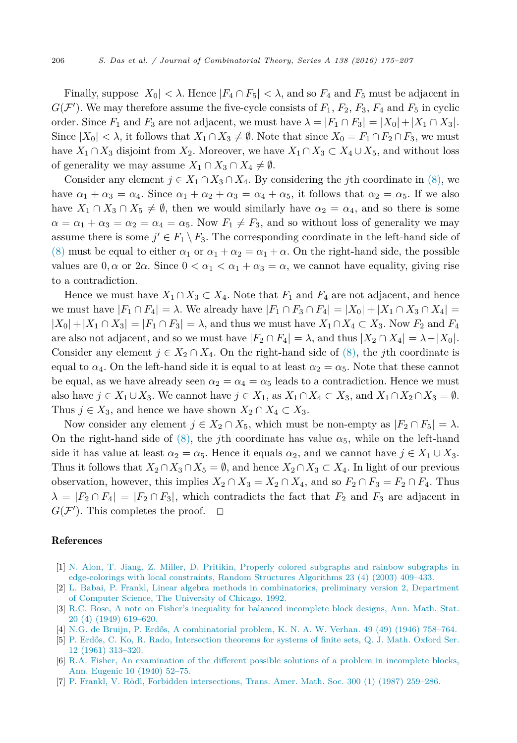<span id="page-31-0"></span>Finally, suppose  $|X_0| < \lambda$ . Hence  $|F_4 \cap F_5| < \lambda$ , and so  $F_4$  and  $F_5$  must be adjacent in  $G(F')$ . We may therefore assume the five-cycle consists of  $F_1$ ,  $F_2$ ,  $F_3$ ,  $F_4$  and  $F_5$  in cyclic order. Since  $F_1$  and  $F_3$  are not adjacent, we must have  $\lambda = |F_1 \cap F_3| = |X_0| + |X_1 \cap X_3|$ . Since  $|X_0| < \lambda$ , it follows that  $X_1 \cap X_3 \neq \emptyset$ . Note that since  $X_0 = F_1 \cap F_2 \cap F_3$ , we must have  $X_1 \cap X_3$  disjoint from  $X_2$ . Moreover, we have  $X_1 \cap X_3 \subset X_4 \cup X_5$ , and without loss of generality we may assume  $X_1 \cap X_3 \cap X_4 \neq \emptyset$ .

Consider any element  $j \in X_1 \cap X_3 \cap X_4$ . By considering the *j*th coordinate in [\(8\),](#page-30-0) we have  $\alpha_1 + \alpha_3 = \alpha_4$ . Since  $\alpha_1 + \alpha_2 + \alpha_3 = \alpha_4 + \alpha_5$ , it follows that  $\alpha_2 = \alpha_5$ . If we also have  $X_1 \cap X_3 \cap X_5 \neq \emptyset$ , then we would similarly have  $\alpha_2 = \alpha_4$ , and so there is some  $\alpha = \alpha_1 + \alpha_3 = \alpha_2 = \alpha_4 = \alpha_5$ . Now  $F_1 \neq F_3$ , and so without loss of generality we may assume there is some  $j' \in F_1 \setminus F_3$ . The corresponding coordinate in the left-hand side of [\(8\)](#page-30-0) must be equal to either  $\alpha_1$  or  $\alpha_1 + \alpha_2 = \alpha_1 + \alpha$ . On the right-hand side, the possible values are  $0, \alpha$  or  $2\alpha$ . Since  $0 < \alpha_1 < \alpha_1 + \alpha_3 = \alpha$ , we cannot have equality, giving rise to a contradiction.

Hence we must have  $X_1 \cap X_3 \subset X_4$ . Note that  $F_1$  and  $F_4$  are not adjacent, and hence we must have  $|F_1 \cap F_4| = \lambda$ . We already have  $|F_1 \cap F_3 \cap F_4| = |X_0| + |X_1 \cap X_3 \cap X_4|$  $|X_0| + |X_1 \cap X_3| = |F_1 \cap F_3| = \lambda$ , and thus we must have  $X_1 \cap X_4 \subset X_3$ . Now  $F_2$  and  $F_4$ are also not adjacent, and so we must have  $|F_2 \cap F_4| = \lambda$ , and thus  $|X_2 \cap X_4| = \lambda - |X_0|$ . Consider any element  $j \in X_2 \cap X_4$ . On the right-hand side of [\(8\),](#page-30-0) the *j*th coordinate is equal to  $\alpha_4$ . On the left-hand side it is equal to at least  $\alpha_2 = \alpha_5$ . Note that these cannot be equal, as we have already seen  $\alpha_2 = \alpha_4 = \alpha_5$  leads to a contradiction. Hence we must also have  $j \in X_1 \cup X_3$ . We cannot have  $j \in X_1$ , as  $X_1 \cap X_4 \subset X_3$ , and  $X_1 \cap X_2 \cap X_3 = \emptyset$ . Thus  $j \in X_3$ , and hence we have shown  $X_2 \cap X_4 \subset X_3$ .

Now consider any element  $j \in X_2 \cap X_5$ , which must be non-empty as  $|F_2 \cap F_5| = \lambda$ . On the right-hand side of  $(8)$ , the *j*th coordinate has value  $\alpha_5$ , while on the left-hand side it has value at least  $\alpha_2 = \alpha_5$ . Hence it equals  $\alpha_2$ , and we cannot have  $j \in X_1 \cup X_3$ . Thus it follows that  $X_2 \cap X_3 \cap X_5 = \emptyset$ , and hence  $X_2 \cap X_3 \subset X_4$ . In light of our previous observation, however, this implies  $X_2 \cap X_3 = X_2 \cap X_4$ , and so  $F_2 \cap F_3 = F_2 \cap F_4$ . Thus  $\lambda = |F_2 \cap F_4| = |F_2 \cap F_3|$ , which contradicts the fact that  $F_2$  and  $F_3$  are adjacent in  $G(\mathcal{F}')$ . This completes the proof.  $\Box$ 

#### References

- [1] N. Alon, T. Jiang, Z. Miller, D. Pritikin, Properly colored [subgraphs](http://refhub.elsevier.com/S0097-3165(15)00129-6/bib616A6D703033s1) and rainbow subgraphs in [edge-colorings](http://refhub.elsevier.com/S0097-3165(15)00129-6/bib616A6D703033s1) with local constraints, Random Structures Algorithms 23 (4) (2003) 409–433.
- [2] L. Babai, P. Frankl, Linear algebra methods in [combinatorics,](http://refhub.elsevier.com/S0097-3165(15)00129-6/bib62663932s1) preliminary version 2, Department of Computer Science, The [University](http://refhub.elsevier.com/S0097-3165(15)00129-6/bib62663932s1) of Chicago, 1992.
- [3] R.C. Bose, A note on Fisher's inequality for balanced [incomplete](http://refhub.elsevier.com/S0097-3165(15)00129-6/bib623439s1) block designs, Ann. Math. Stat. 20 (4) (1949) [619–620.](http://refhub.elsevier.com/S0097-3165(15)00129-6/bib623439s1)
- [4] N.G. de Bruijn, P. Erdős, A [combinatorial](http://refhub.elsevier.com/S0097-3165(15)00129-6/bib64653436s1) problem, K. N. A. W. Verhan. 49 (49) (1946) 758–764.
- [5] P. Erdős, C. Ko, R. Rado, [Intersection](http://refhub.elsevier.com/S0097-3165(15)00129-6/bib656B723631s1) theorems for systems of finite sets, Q. J. Math. Oxford Ser. 12 (1961) [313–320.](http://refhub.elsevier.com/S0097-3165(15)00129-6/bib656B723631s1)
- [6] R.A. Fisher, An [examination](http://refhub.elsevier.com/S0097-3165(15)00129-6/bib663430s1) of the different possible solutions of a problem in incomplete blocks, Ann. [Eugenic](http://refhub.elsevier.com/S0097-3165(15)00129-6/bib663430s1) 10 (1940) 52–75.
- [7] P. Frankl, V. Rödl, Forbidden [intersections,](http://refhub.elsevier.com/S0097-3165(15)00129-6/bib66723837s1) Trans. Amer. Math. Soc. 300 (1) (1987) 259–286.